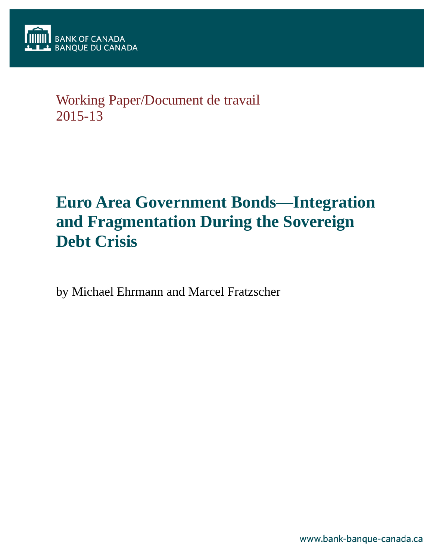

# Working Paper/Document de travail 2015-13

# **Euro Area Government Bonds—Integration and Fragmentation During the Sovereign Debt Crisis**

by Michael Ehrmann and Marcel Fratzscher

www.bank-banque-canada.ca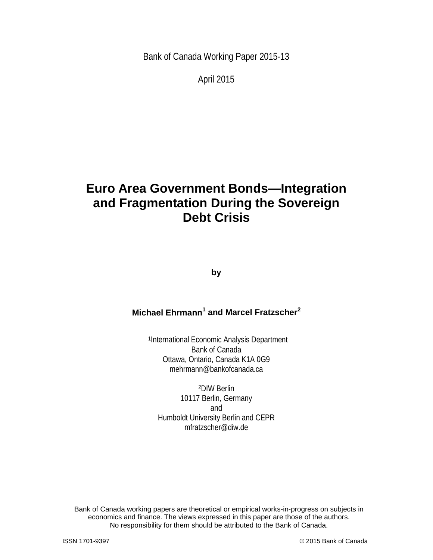Bank of Canada Working Paper 2015-13

April 2015

## **Euro Area Government Bonds—Integration and Fragmentation During the Sovereign Debt Crisis**

**by**

## **Michael Ehrmann<sup>1</sup> and Marcel Fratzscher<sup>2</sup>**

1International Economic Analysis Department Bank of Canada Ottawa, Ontario, Canada K1A 0G9 mehrmann@bankofcanada.ca

2DIW Berlin 10117 Berlin, Germany and Humboldt University Berlin and CEPR mfratzscher@diw.de

2 No responsibility for them should be attributed to the Bank of Canada. Bank of Canada working papers are theoretical or empirical works-in-progress on subjects in economics and finance. The views expressed in this paper are those of the authors.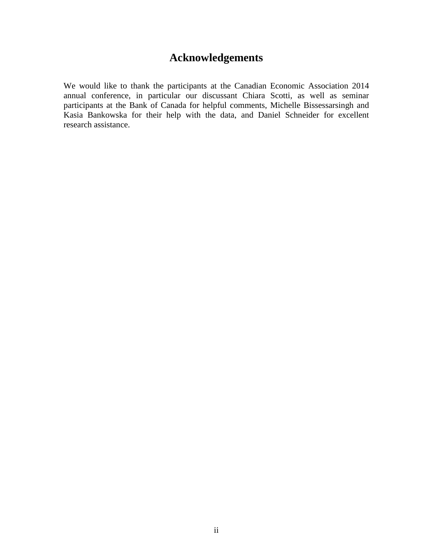## **Acknowledgements**

We would like to thank the participants at the Canadian Economic Association 2014 annual conference, in particular our discussant Chiara Scotti, as well as seminar participants at the Bank of Canada for helpful comments, Michelle Bissessarsingh and Kasia Bankowska for their help with the data, and Daniel Schneider for excellent research assistance.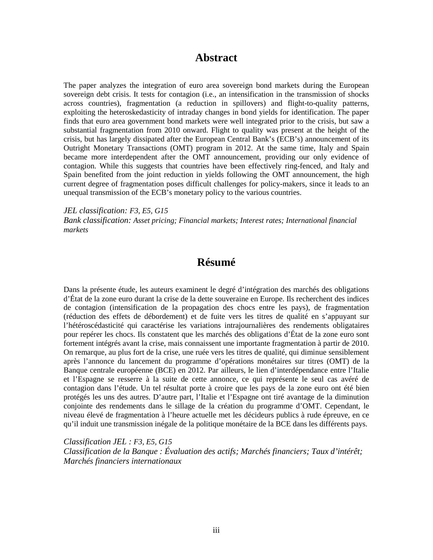## **Abstract**

The paper analyzes the integration of euro area sovereign bond markets during the European sovereign debt crisis. It tests for contagion (i.e., an intensification in the transmission of shocks across countries), fragmentation (a reduction in spillovers) and flight-to-quality patterns, exploiting the heteroskedasticity of intraday changes in bond yields for identification. The paper finds that euro area government bond markets were well integrated prior to the crisis, but saw a substantial fragmentation from 2010 onward. Flight to quality was present at the height of the crisis, but has largely dissipated after the European Central Bank's (ECB's) announcement of its Outright Monetary Transactions (OMT) program in 2012. At the same time, Italy and Spain became more interdependent after the OMT announcement, providing our only evidence of contagion. While this suggests that countries have been effectively ring-fenced, and Italy and Spain benefited from the joint reduction in yields following the OMT announcement, the high current degree of fragmentation poses difficult challenges for policy-makers, since it leads to an unequal transmission of the ECB's monetary policy to the various countries.

*JEL classification: F3, E5, G15*

*Bank classification: Asset pricing; Financial markets; Interest rates; International financial markets*

## **Résumé**

Dans la présente étude, les auteurs examinent le degré d'intégration des marchés des obligations d'État de la zone euro durant la crise de la dette souveraine en Europe. Ils recherchent des indices de contagion (intensification de la propagation des chocs entre les pays), de fragmentation (réduction des effets de débordement) et de fuite vers les titres de qualité en s'appuyant sur l'hétéroscédasticité qui caractérise les variations intrajournalières des rendements obligataires pour repérer les chocs. Ils constatent que les marchés des obligations d'État de la zone euro sont fortement intégrés avant la crise, mais connaissent une importante fragmentation à partir de 2010. On remarque, au plus fort de la crise, une ruée vers les titres de qualité, qui diminue sensiblement après l'annonce du lancement du programme d'opérations monétaires sur titres (OMT) de la Banque centrale européenne (BCE) en 2012. Par ailleurs, le lien d'interdépendance entre l'Italie et l'Espagne se resserre à la suite de cette annonce, ce qui représente le seul cas avéré de contagion dans l'étude. Un tel résultat porte à croire que les pays de la zone euro ont été bien protégés les uns des autres. D'autre part, l'Italie et l'Espagne ont tiré avantage de la diminution conjointe des rendements dans le sillage de la création du programme d'OMT. Cependant, le niveau élevé de fragmentation à l'heure actuelle met les décideurs publics à rude épreuve, en ce qu'il induit une transmission inégale de la politique monétaire de la BCE dans les différents pays.

*Classification JEL : F3, E5, G15 Classification de la Banque : Évaluation des actifs; Marchés financiers; Taux d'intérêt; Marchés financiers internationaux*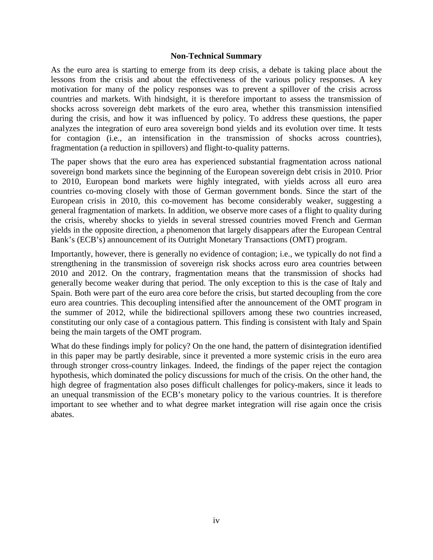#### **Non-Technical Summary**

As the euro area is starting to emerge from its deep crisis, a debate is taking place about the lessons from the crisis and about the effectiveness of the various policy responses. A key motivation for many of the policy responses was to prevent a spillover of the crisis across countries and markets. With hindsight, it is therefore important to assess the transmission of shocks across sovereign debt markets of the euro area, whether this transmission intensified during the crisis, and how it was influenced by policy. To address these questions, the paper analyzes the integration of euro area sovereign bond yields and its evolution over time. It tests for contagion (i.e., an intensification in the transmission of shocks across countries), fragmentation (a reduction in spillovers) and flight-to-quality patterns.

The paper shows that the euro area has experienced substantial fragmentation across national sovereign bond markets since the beginning of the European sovereign debt crisis in 2010. Prior to 2010, European bond markets were highly integrated, with yields across all euro area countries co-moving closely with those of German government bonds. Since the start of the European crisis in 2010, this co-movement has become considerably weaker, suggesting a general fragmentation of markets. In addition, we observe more cases of a flight to quality during the crisis, whereby shocks to yields in several stressed countries moved French and German yields in the opposite direction, a phenomenon that largely disappears after the European Central Bank's (ECB's) announcement of its Outright Monetary Transactions (OMT) program.

Importantly, however, there is generally no evidence of contagion; i.e., we typically do not find a strengthening in the transmission of sovereign risk shocks across euro area countries between 2010 and 2012. On the contrary, fragmentation means that the transmission of shocks had generally become weaker during that period. The only exception to this is the case of Italy and Spain. Both were part of the euro area core before the crisis, but started decoupling from the core euro area countries. This decoupling intensified after the announcement of the OMT program in the summer of 2012, while the bidirectional spillovers among these two countries increased, constituting our only case of a contagious pattern. This finding is consistent with Italy and Spain being the main targets of the OMT program.

What do these findings imply for policy? On the one hand, the pattern of disintegration identified in this paper may be partly desirable, since it prevented a more systemic crisis in the euro area through stronger cross-country linkages. Indeed, the findings of the paper reject the contagion hypothesis, which dominated the policy discussions for much of the crisis. On the other hand, the high degree of fragmentation also poses difficult challenges for policy-makers, since it leads to an unequal transmission of the ECB's monetary policy to the various countries. It is therefore important to see whether and to what degree market integration will rise again once the crisis abates.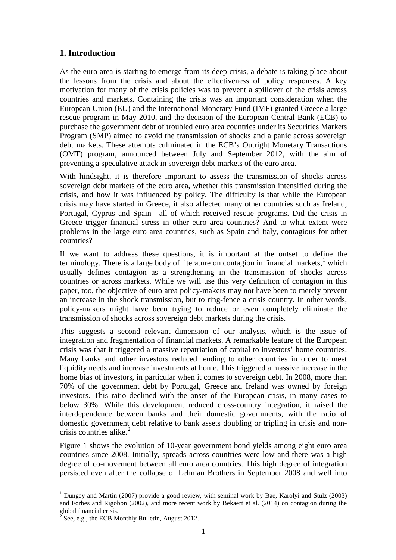### **1. Introduction**

As the euro area is starting to emerge from its deep crisis, a debate is taking place about the lessons from the crisis and about the effectiveness of policy responses. A key motivation for many of the crisis policies was to prevent a spillover of the crisis across countries and markets. Containing the crisis was an important consideration when the European Union (EU) and the International Monetary Fund (IMF) granted Greece a large rescue program in May 2010, and the decision of the European Central Bank (ECB) to purchase the government debt of troubled euro area countries under its Securities Markets Program (SMP) aimed to avoid the transmission of shocks and a panic across sovereign debt markets. These attempts culminated in the ECB's Outright Monetary Transactions (OMT) program, announced between July and September 2012, with the aim of preventing a speculative attack in sovereign debt markets of the euro area.

With hindsight, it is therefore important to assess the transmission of shocks across sovereign debt markets of the euro area, whether this transmission intensified during the crisis, and how it was influenced by policy. The difficulty is that while the European crisis may have started in Greece, it also affected many other countries such as Ireland, Portugal, Cyprus and Spain—all of which received rescue programs. Did the crisis in Greece trigger financial stress in other euro area countries? And to what extent were problems in the large euro area countries, such as Spain and Italy, contagious for other countries?

If we want to address these questions, it is important at the outset to define the terminology. There is a large body of literature on contagion in financial markets,<sup>[1](#page-5-0)</sup> which usually defines contagion as a strengthening in the transmission of shocks across countries or across markets. While we will use this very definition of contagion in this paper, too, the objective of euro area policy-makers may not have been to merely prevent an increase in the shock transmission, but to ring-fence a crisis country. In other words, policy-makers might have been trying to reduce or even completely eliminate the transmission of shocks across sovereign debt markets during the crisis.

This suggests a second relevant dimension of our analysis, which is the issue of integration and fragmentation of financial markets. A remarkable feature of the European crisis was that it triggered a massive repatriation of capital to investors' home countries. Many banks and other investors reduced lending to other countries in order to meet liquidity needs and increase investments at home. This triggered a massive increase in the home bias of investors, in particular when it comes to sovereign debt. In 2008, more than 70% of the government debt by Portugal, Greece and Ireland was owned by foreign investors. This ratio declined with the onset of the European crisis, in many cases to below 30%. While this development reduced cross-country integration, it raised the interdependence between banks and their domestic governments, with the ratio of domestic government debt relative to bank assets doubling or tripling in crisis and noncrisis countries alike. $^{2}$  $^{2}$  $^{2}$ 

Figure 1 shows the evolution of 10-year government bond yields among eight euro area countries since 2008. Initially, spreads across countries were low and there was a high degree of co-movement between all euro area countries. This high degree of integration persisted even after the collapse of Lehman Brothers in September 2008 and well into

<span id="page-5-0"></span><sup>&</sup>lt;sup>1</sup> Dungey and Martin (2007) provide a good review, with seminal work by Bae, Karolyi and Stulz (2003) and Forbes and Rigobon (2002), and more recent work by Bekaert et al. (2014) on contagion during the global financial crisis.<br><sup>2</sup> See, e.g., the ECB Monthly Bulletin, August 2012.

<span id="page-5-1"></span>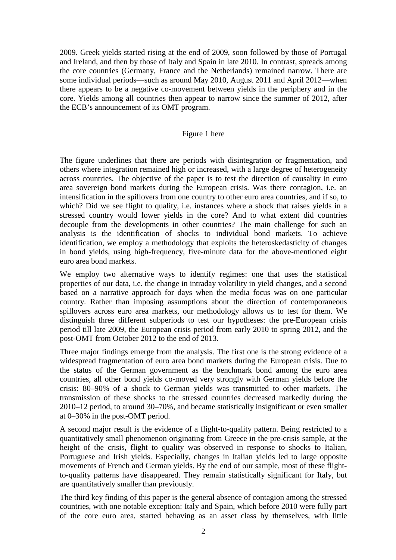2009. Greek yields started rising at the end of 2009, soon followed by those of Portugal and Ireland, and then by those of Italy and Spain in late 2010. In contrast, spreads among the core countries (Germany, France and the Netherlands) remained narrow. There are some individual periods—such as around May 2010, August 2011 and April 2012—when there appears to be a negative co-movement between yields in the periphery and in the core. Yields among all countries then appear to narrow since the summer of 2012, after the ECB's announcement of its OMT program.

#### Figure 1 here

The figure underlines that there are periods with disintegration or fragmentation, and others where integration remained high or increased, with a large degree of heterogeneity across countries. The objective of the paper is to test the direction of causality in euro area sovereign bond markets during the European crisis. Was there contagion, i.e. an intensification in the spillovers from one country to other euro area countries, and if so, to which? Did we see flight to quality, i.e. instances where a shock that raises yields in a stressed country would lower yields in the core? And to what extent did countries decouple from the developments in other countries? The main challenge for such an analysis is the identification of shocks to individual bond markets. To achieve identification, we employ a methodology that exploits the heteroskedasticity of changes in bond yields, using high-frequency, five-minute data for the above-mentioned eight euro area bond markets.

We employ two alternative ways to identify regimes: one that uses the statistical properties of our data, i.e. the change in intraday volatility in yield changes, and a second based on a narrative approach for days when the media focus was on one particular country. Rather than imposing assumptions about the direction of contemporaneous spillovers across euro area markets, our methodology allows us to test for them. We distinguish three different subperiods to test our hypotheses: the pre-European crisis period till late 2009, the European crisis period from early 2010 to spring 2012, and the post-OMT from October 2012 to the end of 2013.

Three major findings emerge from the analysis. The first one is the strong evidence of a widespread fragmentation of euro area bond markets during the European crisis. Due to the status of the German government as the benchmark bond among the euro area countries, all other bond yields co-moved very strongly with German yields before the crisis: 80–90% of a shock to German yields was transmitted to other markets. The transmission of these shocks to the stressed countries decreased markedly during the 2010–12 period, to around 30–70%, and became statistically insignificant or even smaller at 0–30% in the post-OMT period.

A second major result is the evidence of a flight-to-quality pattern. Being restricted to a quantitatively small phenomenon originating from Greece in the pre-crisis sample, at the height of the crisis, flight to quality was observed in response to shocks to Italian, Portuguese and Irish yields. Especially, changes in Italian yields led to large opposite movements of French and German yields. By the end of our sample, most of these flightto-quality patterns have disappeared. They remain statistically significant for Italy, but are quantitatively smaller than previously.

The third key finding of this paper is the general absence of contagion among the stressed countries, with one notable exception: Italy and Spain, which before 2010 were fully part of the core euro area, started behaving as an asset class by themselves, with little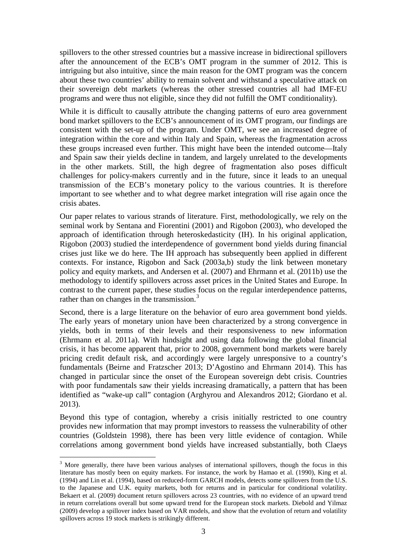spillovers to the other stressed countries but a massive increase in bidirectional spillovers after the announcement of the ECB's OMT program in the summer of 2012. This is intriguing but also intuitive, since the main reason for the OMT program was the concern about these two countries' ability to remain solvent and withstand a speculative attack on their sovereign debt markets (whereas the other stressed countries all had IMF-EU programs and were thus not eligible, since they did not fulfill the OMT conditionality).

While it is difficult to causally attribute the changing patterns of euro area government bond market spillovers to the ECB's announcement of its OMT program, our findings are consistent with the set-up of the program. Under OMT, we see an increased degree of integration within the core and within Italy and Spain, whereas the fragmentation across these groups increased even further. This might have been the intended outcome—Italy and Spain saw their yields decline in tandem, and largely unrelated to the developments in the other markets. Still, the high degree of fragmentation also poses difficult challenges for policy-makers currently and in the future, since it leads to an unequal transmission of the ECB's monetary policy to the various countries. It is therefore important to see whether and to what degree market integration will rise again once the crisis abates.

Our paper relates to various strands of literature. First, methodologically, we rely on the seminal work by Sentana and Fiorentini (2001) and Rigobon (2003), who developed the approach of identification through heteroskedasticity (IH). In his original application, Rigobon (2003) studied the interdependence of government bond yields during financial crises just like we do here. The IH approach has subsequently been applied in different contexts. For instance, Rigobon and Sack (2003a,b) study the link between monetary policy and equity markets, and Andersen et al. (2007) and Ehrmann et al. (2011b) use the methodology to identify spillovers across asset prices in the United States and Europe. In contrast to the current paper, these studies focus on the regular interdependence patterns, rather than on changes in the transmission.<sup>[3](#page-7-0)</sup>

Second, there is a large literature on the behavior of euro area government bond yields. The early years of monetary union have been characterized by a strong convergence in yields, both in terms of their levels and their responsiveness to new information (Ehrmann et al. 2011a). With hindsight and using data following the global financial crisis, it has become apparent that, prior to 2008, government bond markets were barely pricing credit default risk, and accordingly were largely unresponsive to a country's fundamentals (Beirne and Fratzscher 2013; D'Agostino and Ehrmann 2014). This has changed in particular since the onset of the European sovereign debt crisis. Countries with poor fundamentals saw their yields increasing dramatically, a pattern that has been identified as "wake-up call" contagion (Arghyrou and Alexandros 2012; Giordano et al. 2013).

Beyond this type of contagion, whereby a crisis initially restricted to one country provides new information that may prompt investors to reassess the vulnerability of other countries (Goldstein 1998), there has been very little evidence of contagion. While correlations among government bond yields have increased substantially, both Claeys

<span id="page-7-0"></span><sup>&</sup>lt;sup>3</sup> More generally, there have been various analyses of international spillovers, though the focus in this literature has mostly been on equity markets. For instance, the work by Hamao et al. (1990), King et al. (1994) and Lin et al. (1994), based on reduced-form GARCH models, detects some spillovers from the U.S. to the Japanese and U.K. equity markets, both for returns and in particular for conditional volatility. Bekaert et al. (2009) document return spillovers across 23 countries, with no evidence of an upward trend in return correlations overall but some upward trend for the European stock markets. Diebold and Yilmaz (2009) develop a spillover index based on VAR models, and show that the evolution of return and volatility spillovers across 19 stock markets is strikingly different.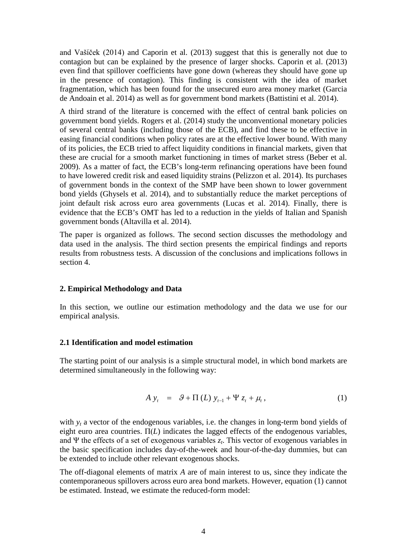and Vašíček (2014) and Caporin et al. (2013) suggest that this is generally not due to contagion but can be explained by the presence of larger shocks. Caporin et al. (2013) even find that spillover coefficients have gone down (whereas they should have gone up in the presence of contagion). This finding is consistent with the idea of market fragmentation, which has been found for the unsecured euro area money market (Garcia de Andoain et al. 2014) as well as for government bond markets (Battistini et al. 2014).

A third strand of the literature is concerned with the effect of central bank policies on government bond yields. Rogers et al. (2014) study the unconventional monetary policies of several central banks (including those of the ECB), and find these to be effective in easing financial conditions when policy rates are at the effective lower bound. With many of its policies, the ECB tried to affect liquidity conditions in financial markets, given that these are crucial for a smooth market functioning in times of market stress (Beber et al. 2009). As a matter of fact, the ECB's long-term refinancing operations have been found to have lowered credit risk and eased liquidity strains (Pelizzon et al. 2014). Its purchases of government bonds in the context of the SMP have been shown to lower government bond yields (Ghysels et al. 2014), and to substantially reduce the market perceptions of joint default risk across euro area governments (Lucas et al. 2014). Finally, there is evidence that the ECB's OMT has led to a reduction in the yields of Italian and Spanish government bonds (Altavilla et al. 2014).

The paper is organized as follows. The second section discusses the methodology and data used in the analysis. The third section presents the empirical findings and reports results from robustness tests. A discussion of the conclusions and implications follows in section 4.

#### **2. Empirical Methodology and Data**

In this section, we outline our estimation methodology and the data we use for our empirical analysis.

#### **2.1 Identification and model estimation**

The starting point of our analysis is a simple structural model, in which bond markets are determined simultaneously in the following way:

$$
A y_t = \mathcal{G} + \Pi(L) y_{t-1} + \Psi z_t + \mu_t, \qquad (1)
$$

with  $y_t$  a vector of the endogenous variables, i.e. the changes in long-term bond yields of eight euro area countries. Π(*L*) indicates the lagged effects of the endogenous variables, and Ψ the effects of a set of exogenous variables *zt*. This vector of exogenous variables in the basic specification includes day-of-the-week and hour-of-the-day dummies, but can be extended to include other relevant exogenous shocks.

The off-diagonal elements of matrix *A* are of main interest to us, since they indicate the contemporaneous spillovers across euro area bond markets. However, equation (1) cannot be estimated. Instead, we estimate the reduced-form model: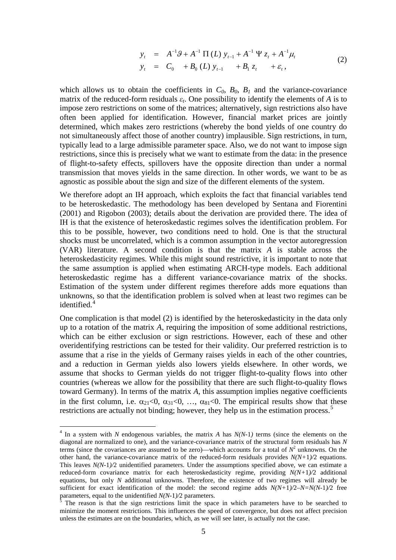$$
y_{t} = A^{-1} \mathcal{G} + A^{-1} \Pi(L) y_{t-1} + A^{-1} \Psi z_{t} + A^{-1} \mu_{t}
$$
  
\n
$$
y_{t} = C_{0} + B_{0}(L) y_{t-1} + B_{1} z_{t} + \varepsilon_{t},
$$
\n(2)

which allows us to obtain the coefficients in  $C_0$ ,  $B_0$ ,  $B_1$  and the variance-covariance matrix of the reduced-form residuals  $\varepsilon_t$ . One possibility to identify the elements of *A* is to impose zero restrictions on some of the matrices; alternatively, sign restrictions also have often been applied for identification. However, financial market prices are jointly determined, which makes zero restrictions (whereby the bond yields of one country do not simultaneously affect those of another country) implausible. Sign restrictions, in turn, typically lead to a large admissible parameter space. Also, we do not want to impose sign restrictions, since this is precisely what we want to estimate from the data: in the presence of flight-to-safety effects, spillovers have the opposite direction than under a normal transmission that moves yields in the same direction. In other words, we want to be as agnostic as possible about the sign and size of the different elements of the system.

We therefore adopt an IH approach, which exploits the fact that financial variables tend to be heteroskedastic. The methodology has been developed by Sentana and Fiorentini (2001) and Rigobon (2003); details about the derivation are provided there. The idea of IH is that the existence of heteroskedastic regimes solves the identification problem. For this to be possible, however, two conditions need to hold. One is that the structural shocks must be uncorrelated, which is a common assumption in the vector autoregression (VAR) literature. A second condition is that the matrix *A* is stable across the heteroskedasticity regimes. While this might sound restrictive, it is important to note that the same assumption is applied when estimating ARCH-type models. Each additional heteroskedastic regime has a different variance-covariance matrix of the shocks. Estimation of the system under different regimes therefore adds more equations than unknowns, so that the identification problem is solved when at least two regimes can be identified. [4](#page-9-0)

One complication is that model (2) is identified by the heteroskedasticity in the data only up to a rotation of the matrix *A*, requiring the imposition of some additional restrictions, which can be either exclusion or sign restrictions. However, each of these and other overidentifying restrictions can be tested for their validity. Our preferred restriction is to assume that a rise in the yields of Germany raises yields in each of the other countries, and a reduction in German yields also lowers yields elsewhere. In other words, we assume that shocks to German yields do not trigger flight-to-quality flows into other countries (whereas we allow for the possibility that there are such flight-to-quality flows toward Germany). In terms of the matrix *A*, this assumption implies negative coefficients in the first column, i.e.  $\alpha_{21} < 0$ ,  $\alpha_{31} < 0$ , ...,  $\alpha_{81} < 0$ . The empirical results show that these restrictions are actually not binding; however, they help us in the estimation process.<sup>[5](#page-9-1)</sup>

<span id="page-9-0"></span> <sup>4</sup> In a system with *<sup>N</sup>* endogenous variables, the matrix *<sup>A</sup>* has *N(N-*1*)* terms (since the elements on the diagonal are normalized to one), and the variance-covariance matrix of the structural form residuals has *N* terms (since the covariances are assumed to be zero)—which accounts for a total of  $N^2$  unknowns. On the other hand, the variance-covariance matrix of the reduced-form residuals provides  $N(N+1)/2$  equations. This leaves *N(N-*1*)/*2 unidentified parameters. Under the assumptions specified above, we can estimate a reduced-form covariance matrix for each heteroskedasticity regime, providing *N(N+*1*)/*2 additional equations, but only *N* additional unknowns. Therefore, the existence of two regimes will already be sufficient for exact identification of the model: the second regime adds *N(N+*1*)/*2*–N=N(N-*1*)/*2 free parameters, equal to the unidentified  $N(N-1)/2$  parameters.<br><sup>5</sup> The reason is that the sign restrictions limit the space in which parameters have to be searched to

<span id="page-9-1"></span>minimize the moment restrictions. This influences the speed of convergence, but does not affect precision unless the estimates are on the boundaries, which, as we will see later, is actually not the case.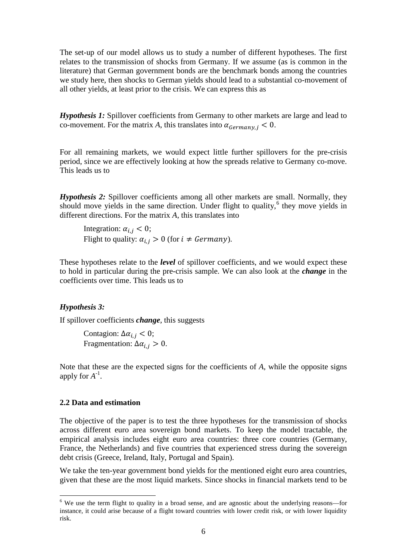The set-up of our model allows us to study a number of different hypotheses. The first relates to the transmission of shocks from Germany. If we assume (as is common in the literature) that German government bonds are the benchmark bonds among the countries we study here, then shocks to German yields should lead to a substantial co-movement of all other yields, at least prior to the crisis. We can express this as

*Hypothesis 1:* Spillover coefficients from Germany to other markets are large and lead to co-movement. For the matrix *A*, this translates into  $\alpha_{German}$ ,  $i < 0$ .

For all remaining markets, we would expect little further spillovers for the pre-crisis period, since we are effectively looking at how the spreads relative to Germany co-move. This leads us to

*Hypothesis 2:* Spillover coefficients among all other markets are small. Normally, they should move yields in the same direction. Under flight to quality,<sup>[6](#page-10-0)</sup> they move yields in different directions. For the matrix *A*, this translates into

Integration:  $\alpha_{i,j} < 0$ ; Flight to quality:  $\alpha_{i,j} > 0$  (for  $i \neq \text{Germany}$ ).

These hypotheses relate to the *level* of spillover coefficients, and we would expect these to hold in particular during the pre-crisis sample. We can also look at the *change* in the coefficients over time. This leads us to

#### *Hypothesis 3:*

If spillover coefficients *change*, this suggests

Contagion:  $\Delta \alpha_{i,j} < 0$ ; Fragmentation:  $\Delta \alpha_{i,j} > 0$ .

Note that these are the expected signs for the coefficients of *A*, while the opposite signs apply for *A-*<sup>1</sup> .

#### **2.2 Data and estimation**

The objective of the paper is to test the three hypotheses for the transmission of shocks across different euro area sovereign bond markets. To keep the model tractable, the empirical analysis includes eight euro area countries: three core countries (Germany, France, the Netherlands) and five countries that experienced stress during the sovereign debt crisis (Greece, Ireland, Italy, Portugal and Spain).

We take the ten-year government bond yields for the mentioned eight euro area countries, given that these are the most liquid markets. Since shocks in financial markets tend to be

<span id="page-10-0"></span><sup>&</sup>lt;sup>6</sup> We use the term flight to quality in a broad sense, and are agnostic about the underlying reasons—for instance, it could arise because of a flight toward countries with lower credit risk, or with lower liquidity risk.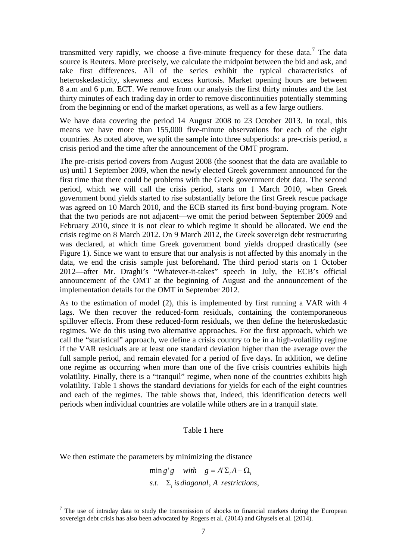transmitted very rapidly, we choose a five-minute frequency for these data.<sup>[7](#page-11-0)</sup> The data source is Reuters. More precisely, we calculate the midpoint between the bid and ask, and take first differences. All of the series exhibit the typical characteristics of heteroskedasticity, skewness and excess kurtosis. Market opening hours are between 8 a.m and 6 p.m. ECT. We remove from our analysis the first thirty minutes and the last thirty minutes of each trading day in order to remove discontinuities potentially stemming from the beginning or end of the market operations, as well as a few large outliers.

We have data covering the period 14 August 2008 to 23 October 2013. In total, this means we have more than 155,000 five-minute observations for each of the eight countries. As noted above, we split the sample into three subperiods: a pre-crisis period, a crisis period and the time after the announcement of the OMT program.

The pre-crisis period covers from August 2008 (the soonest that the data are available to us) until 1 September 2009, when the newly elected Greek government announced for the first time that there could be problems with the Greek government debt data. The second period, which we will call the crisis period, starts on 1 March 2010, when Greek government bond yields started to rise substantially before the first Greek rescue package was agreed on 10 March 2010, and the ECB started its first bond-buying program. Note that the two periods are not adjacent—we omit the period between September 2009 and February 2010, since it is not clear to which regime it should be allocated. We end the crisis regime on 8 March 2012. On 9 March 2012, the Greek sovereign debt restructuring was declared, at which time Greek government bond yields dropped drastically (see Figure 1). Since we want to ensure that our analysis is not affected by this anomaly in the data, we end the crisis sample just beforehand. The third period starts on 1 October 2012—after Mr. Draghi's "Whatever-it-takes" speech in July, the ECB's official announcement of the OMT at the beginning of August and the announcement of the implementation details for the OMT in September 2012.

As to the estimation of model (2), this is implemented by first running a VAR with 4 lags. We then recover the reduced-form residuals, containing the contemporaneous spillover effects. From these reduced-form residuals, we then define the heteroskedastic regimes. We do this using two alternative approaches. For the first approach, which we call the "statistical" approach, we define a crisis country to be in a high-volatility regime if the VAR residuals are at least one standard deviation higher than the average over the full sample period, and remain elevated for a period of five days. In addition, we define one regime as occurring when more than one of the five crisis countries exhibits high volatility. Finally, there is a "tranquil" regime, when none of the countries exhibits high volatility. Table 1 shows the standard deviations for yields for each of the eight countries and each of the regimes. The table shows that, indeed, this identification detects well periods when individual countries are volatile while others are in a tranquil state.

#### Table 1 here

We then estimate the parameters by minimizing the distance

s.t.  $\Sigma_i$  *is diagonal*, *A restrictions*,  $\min g' g \quad with \quad g = A' \Sigma_i A - \Omega_i$ 

<span id="page-11-0"></span> $<sup>7</sup>$  The use of intraday data to study the transmission of shocks to financial markets during the European</sup> sovereign debt crisis has also been advocated by Rogers et al. (2014) and Ghysels et al. (2014).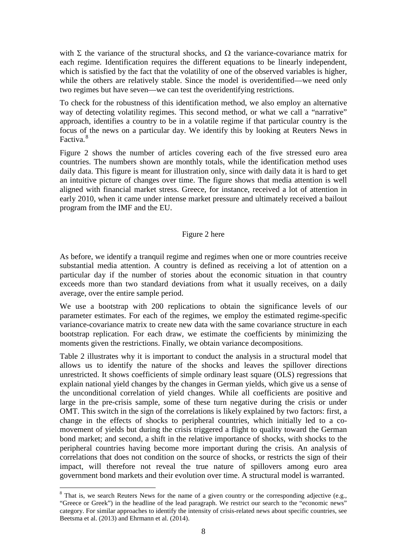with  $\Sigma$  the variance of the structural shocks, and  $\Omega$  the variance-covariance matrix for each regime. Identification requires the different equations to be linearly independent, which is satisfied by the fact that the volatility of one of the observed variables is higher, while the others are relatively stable. Since the model is overidentified—we need only two regimes but have seven—we can test the overidentifying restrictions.

To check for the robustness of this identification method, we also employ an alternative way of detecting volatility regimes. This second method, or what we call a "narrative" approach, identifies a country to be in a volatile regime if that particular country is the focus of the news on a particular day. We identify this by looking at Reuters News in Factiva.<sup>[8](#page-12-0)</sup>

Figure 2 shows the number of articles covering each of the five stressed euro area countries. The numbers shown are monthly totals, while the identification method uses daily data. This figure is meant for illustration only, since with daily data it is hard to get an intuitive picture of changes over time. The figure shows that media attention is well aligned with financial market stress. Greece, for instance, received a lot of attention in early 2010, when it came under intense market pressure and ultimately received a bailout program from the IMF and the EU.

#### Figure 2 here

As before, we identify a tranquil regime and regimes when one or more countries receive substantial media attention. A country is defined as receiving a lot of attention on a particular day if the number of stories about the economic situation in that country exceeds more than two standard deviations from what it usually receives, on a daily average, over the entire sample period.

We use a bootstrap with 200 replications to obtain the significance levels of our parameter estimates. For each of the regimes, we employ the estimated regime-specific variance-covariance matrix to create new data with the same covariance structure in each bootstrap replication. For each draw, we estimate the coefficients by minimizing the moments given the restrictions. Finally, we obtain variance decompositions.

Table 2 illustrates why it is important to conduct the analysis in a structural model that allows us to identify the nature of the shocks and leaves the spillover directions unrestricted. It shows coefficients of simple ordinary least square (OLS) regressions that explain national yield changes by the changes in German yields, which give us a sense of the unconditional correlation of yield changes. While all coefficients are positive and large in the pre-crisis sample, some of these turn negative during the crisis or under OMT. This switch in the sign of the correlations is likely explained by two factors: first, a change in the effects of shocks to peripheral countries, which initially led to a comovement of yields but during the crisis triggered a flight to quality toward the German bond market; and second, a shift in the relative importance of shocks, with shocks to the peripheral countries having become more important during the crisis. An analysis of correlations that does not condition on the source of shocks, or restricts the sign of their impact, will therefore not reveal the true nature of spillovers among euro area government bond markets and their evolution over time. A structural model is warranted.

<span id="page-12-0"></span><sup>&</sup>lt;sup>8</sup> That is, we search Reuters News for the name of a given country or the corresponding adjective (e.g., "Greece or Greek") in the headline of the lead paragraph. We restrict our search to the "economic news" category. For similar approaches to identify the intensity of crisis-related news about specific countries, see Beetsma et al. (2013) and Ehrmann et al. (2014).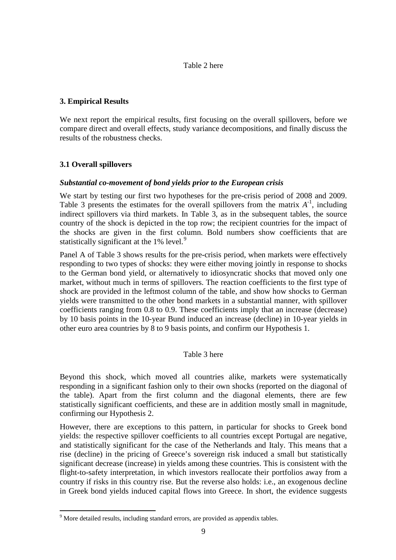#### Table 2 here

#### **3. Empirical Results**

We next report the empirical results, first focusing on the overall spillovers, before we compare direct and overall effects, study variance decompositions, and finally discuss the results of the robustness checks.

#### **3.1 Overall spillovers**

#### *Substantial co-movement of bond yields prior to the European crisis*

We start by testing our first two hypotheses for the pre-crisis period of 2008 and 2009. Table 3 presents the estimates for the overall spillovers from the matrix  $A^{-1}$ , including indirect spillovers via third markets. In Table 3, as in the subsequent tables, the source country of the shock is depicted in the top row; the recipient countries for the impact of the shocks are given in the first column. Bold numbers show coefficients that are statistically significant at the 1% level.<sup>[9](#page-13-0)</sup>

Panel A of Table 3 shows results for the pre-crisis period, when markets were effectively responding to two types of shocks: they were either moving jointly in response to shocks to the German bond yield, or alternatively to idiosyncratic shocks that moved only one market, without much in terms of spillovers. The reaction coefficients to the first type of shock are provided in the leftmost column of the table, and show how shocks to German yields were transmitted to the other bond markets in a substantial manner, with spillover coefficients ranging from 0.8 to 0.9. These coefficients imply that an increase (decrease) by 10 basis points in the 10-year Bund induced an increase (decline) in 10-year yields in other euro area countries by 8 to 9 basis points, and confirm our Hypothesis 1.

#### Table 3 here

Beyond this shock, which moved all countries alike, markets were systematically responding in a significant fashion only to their own shocks (reported on the diagonal of the table). Apart from the first column and the diagonal elements, there are few statistically significant coefficients, and these are in addition mostly small in magnitude, confirming our Hypothesis 2.

However, there are exceptions to this pattern, in particular for shocks to Greek bond yields: the respective spillover coefficients to all countries except Portugal are negative, and statistically significant for the case of the Netherlands and Italy. This means that a rise (decline) in the pricing of Greece's sovereign risk induced a small but statistically significant decrease (increase) in yields among these countries. This is consistent with the flight-to-safety interpretation, in which investors reallocate their portfolios away from a country if risks in this country rise. But the reverse also holds: i.e., an exogenous decline in Greek bond yields induced capital flows into Greece. In short, the evidence suggests

<span id="page-13-0"></span><sup>&</sup>lt;sup>9</sup> More detailed results, including standard errors, are provided as appendix tables.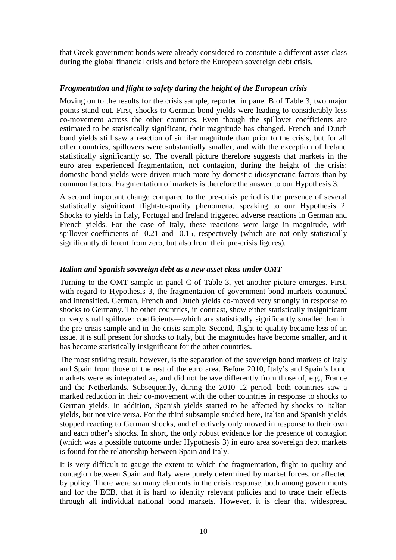that Greek government bonds were already considered to constitute a different asset class during the global financial crisis and before the European sovereign debt crisis.

#### *Fragmentation and flight to safety during the height of the European crisis*

Moving on to the results for the crisis sample, reported in panel B of Table 3, two major points stand out. First, shocks to German bond yields were leading to considerably less co-movement across the other countries. Even though the spillover coefficients are estimated to be statistically significant, their magnitude has changed. French and Dutch bond yields still saw a reaction of similar magnitude than prior to the crisis, but for all other countries, spillovers were substantially smaller, and with the exception of Ireland statistically significantly so. The overall picture therefore suggests that markets in the euro area experienced fragmentation, not contagion, during the height of the crisis: domestic bond yields were driven much more by domestic idiosyncratic factors than by common factors. Fragmentation of markets is therefore the answer to our Hypothesis 3.

A second important change compared to the pre-crisis period is the presence of several statistically significant flight-to-quality phenomena, speaking to our Hypothesis 2. Shocks to yields in Italy, Portugal and Ireland triggered adverse reactions in German and French yields. For the case of Italy, these reactions were large in magnitude, with spillover coefficients of -0.21 and -0.15, respectively (which are not only statistically significantly different from zero, but also from their pre-crisis figures).

#### *Italian and Spanish sovereign debt as a new asset class under OMT*

Turning to the OMT sample in panel C of Table 3, yet another picture emerges. First, with regard to Hypothesis 3, the fragmentation of government bond markets continued and intensified. German, French and Dutch yields co-moved very strongly in response to shocks to Germany. The other countries, in contrast, show either statistically insignificant or very small spillover coefficients—which are statistically significantly smaller than in the pre-crisis sample and in the crisis sample. Second, flight to quality became less of an issue. It is still present for shocks to Italy, but the magnitudes have become smaller, and it has become statistically insignificant for the other countries.

The most striking result, however, is the separation of the sovereign bond markets of Italy and Spain from those of the rest of the euro area. Before 2010, Italy's and Spain's bond markets were as integrated as, and did not behave differently from those of, e.g., France and the Netherlands. Subsequently, during the 2010–12 period, both countries saw a marked reduction in their co-movement with the other countries in response to shocks to German yields. In addition, Spanish yields started to be affected by shocks to Italian yields, but not vice versa. For the third subsample studied here, Italian and Spanish yields stopped reacting to German shocks, and effectively only moved in response to their own and each other's shocks. In short, the only robust evidence for the presence of contagion (which was a possible outcome under Hypothesis 3) in euro area sovereign debt markets is found for the relationship between Spain and Italy.

It is very difficult to gauge the extent to which the fragmentation, flight to quality and contagion between Spain and Italy were purely determined by market forces, or affected by policy. There were so many elements in the crisis response, both among governments and for the ECB, that it is hard to identify relevant policies and to trace their effects through all individual national bond markets. However, it is clear that widespread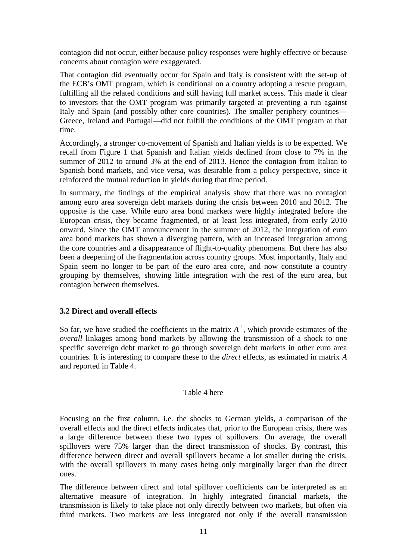contagion did not occur, either because policy responses were highly effective or because concerns about contagion were exaggerated.

That contagion did eventually occur for Spain and Italy is consistent with the set-up of the ECB's OMT program, which is conditional on a country adopting a rescue program, fulfilling all the related conditions and still having full market access. This made it clear to investors that the OMT program was primarily targeted at preventing a run against Italy and Spain (and possibly other core countries). The smaller periphery countries— Greece, Ireland and Portugal—did not fulfill the conditions of the OMT program at that time.

Accordingly, a stronger co-movement of Spanish and Italian yields is to be expected. We recall from Figure 1 that Spanish and Italian yields declined from close to 7% in the summer of 2012 to around 3% at the end of 2013. Hence the contagion from Italian to Spanish bond markets, and vice versa, was desirable from a policy perspective, since it reinforced the mutual reduction in yields during that time period.

In summary, the findings of the empirical analysis show that there was no contagion among euro area sovereign debt markets during the crisis between 2010 and 2012. The opposite is the case. While euro area bond markets were highly integrated before the European crisis, they became fragmented, or at least less integrated, from early 2010 onward. Since the OMT announcement in the summer of 2012, the integration of euro area bond markets has shown a diverging pattern, with an increased integration among the core countries and a disappearance of flight-to-quality phenomena. But there has also been a deepening of the fragmentation across country groups. Most importantly, Italy and Spain seem no longer to be part of the euro area core, and now constitute a country grouping by themselves, showing little integration with the rest of the euro area, but contagion between themselves.

#### **3.2 Direct and overall effects**

So far, we have studied the coefficients in the matrix  $A^{-1}$ , which provide estimates of the *overall* linkages among bond markets by allowing the transmission of a shock to one specific sovereign debt market to go through sovereign debt markets in other euro area countries. It is interesting to compare these to the *direct* effects, as estimated in matrix *A* and reported in Table 4.

#### Table 4 here

Focusing on the first column, i.e. the shocks to German yields, a comparison of the overall effects and the direct effects indicates that, prior to the European crisis, there was a large difference between these two types of spillovers. On average, the overall spillovers were 75% larger than the direct transmission of shocks. By contrast, this difference between direct and overall spillovers became a lot smaller during the crisis, with the overall spillovers in many cases being only marginally larger than the direct ones.

The difference between direct and total spillover coefficients can be interpreted as an alternative measure of integration. In highly integrated financial markets, the transmission is likely to take place not only directly between two markets, but often via third markets. Two markets are less integrated not only if the overall transmission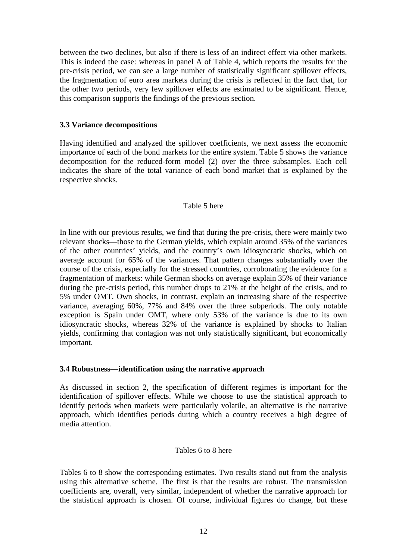between the two declines, but also if there is less of an indirect effect via other markets. This is indeed the case: whereas in panel A of Table 4, which reports the results for the pre-crisis period, we can see a large number of statistically significant spillover effects, the fragmentation of euro area markets during the crisis is reflected in the fact that, for the other two periods, very few spillover effects are estimated to be significant. Hence, this comparison supports the findings of the previous section.

#### **3.3 Variance decompositions**

Having identified and analyzed the spillover coefficients, we next assess the economic importance of each of the bond markets for the entire system. Table 5 shows the variance decomposition for the reduced-form model (2) over the three subsamples. Each cell indicates the share of the total variance of each bond market that is explained by the respective shocks.

#### Table 5 here

In line with our previous results, we find that during the pre-crisis, there were mainly two relevant shocks—those to the German yields, which explain around 35% of the variances of the other countries' yields, and the country's own idiosyncratic shocks, which on average account for 65% of the variances. That pattern changes substantially over the course of the crisis, especially for the stressed countries, corroborating the evidence for a fragmentation of markets: while German shocks on average explain 35% of their variance during the pre-crisis period, this number drops to 21% at the height of the crisis, and to 5% under OMT. Own shocks, in contrast, explain an increasing share of the respective variance, averaging 60%, 77% and 84% over the three subperiods. The only notable exception is Spain under OMT, where only 53% of the variance is due to its own idiosyncratic shocks, whereas 32% of the variance is explained by shocks to Italian yields, confirming that contagion was not only statistically significant, but economically important.

#### **3.4 Robustness—identification using the narrative approach**

As discussed in section 2, the specification of different regimes is important for the identification of spillover effects. While we choose to use the statistical approach to identify periods when markets were particularly volatile, an alternative is the narrative approach, which identifies periods during which a country receives a high degree of media attention.

#### Tables 6 to 8 here

Tables 6 to 8 show the corresponding estimates. Two results stand out from the analysis using this alternative scheme. The first is that the results are robust. The transmission coefficients are, overall, very similar, independent of whether the narrative approach for the statistical approach is chosen. Of course, individual figures do change, but these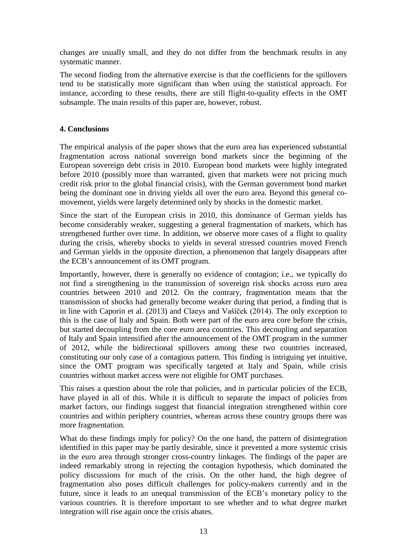changes are usually small, and they do not differ from the benchmark results in any systematic manner.

The second finding from the alternative exercise is that the coefficients for the spillovers tend to be statistically more significant than when using the statistical approach. For instance, according to these results, there are still flight-to-quality effects in the OMT subsample. The main results of this paper are, however, robust.

#### **4. Conclusions**

The empirical analysis of the paper shows that the euro area has experienced substantial fragmentation across national sovereign bond markets since the beginning of the European sovereign debt crisis in 2010. European bond markets were highly integrated before 2010 (possibly more than warranted, given that markets were not pricing much credit risk prior to the global financial crisis), with the German government bond market being the dominant one in driving yields all over the euro area. Beyond this general comovement, yields were largely determined only by shocks in the domestic market.

Since the start of the European crisis in 2010, this dominance of German yields has become considerably weaker, suggesting a general fragmentation of markets, which has strengthened further over time. In addition, we observe more cases of a flight to quality during the crisis, whereby shocks to yields in several stressed countries moved French and German yields in the opposite direction, a phenomenon that largely disappears after the ECB's announcement of its OMT program.

Importantly, however, there is generally no evidence of contagion; i.e., we typically do not find a strengthening in the transmission of sovereign risk shocks across euro area countries between 2010 and 2012. On the contrary, fragmentation means that the transmission of shocks had generally become weaker during that period, a finding that is in line with Caporin et al. (2013) and Claeys and Vašíček (2014). The only exception to this is the case of Italy and Spain. Both were part of the euro area core before the crisis, but started decoupling from the core euro area countries. This decoupling and separation of Italy and Spain intensified after the announcement of the OMT program in the summer of 2012, while the bidirectional spillovers among these two countries increased, constituting our only case of a contagious pattern. This finding is intriguing yet intuitive, since the OMT program was specifically targeted at Italy and Spain, while crisis countries without market access were not eligible for OMT purchases.

This raises a question about the role that policies, and in particular policies of the ECB, have played in all of this. While it is difficult to separate the impact of policies from market factors, our findings suggest that financial integration strengthened within core countries and within periphery countries, whereas across these country groups there was more fragmentation.

What do these findings imply for policy? On the one hand, the pattern of disintegration identified in this paper may be partly desirable, since it prevented a more systemic crisis in the euro area through stronger cross-country linkages. The findings of the paper are indeed remarkably strong in rejecting the contagion hypothesis, which dominated the policy discussions for much of the crisis. On the other hand, the high degree of fragmentation also poses difficult challenges for policy-makers currently and in the future, since it leads to an unequal transmission of the ECB's monetary policy to the various countries. It is therefore important to see whether and to what degree market integration will rise again once the crisis abates.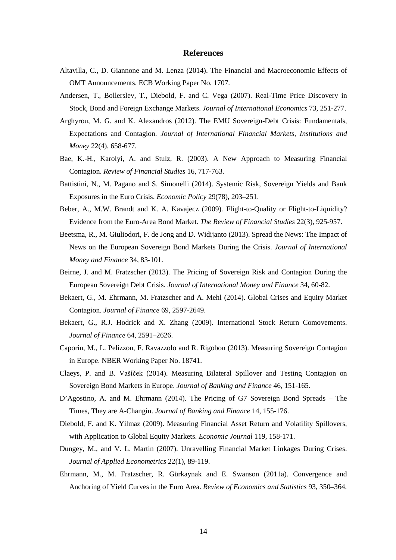#### **References**

- Altavilla, C., D. Giannone and M. Lenza (2014). The Financial and Macroeconomic Effects of OMT Announcements. ECB Working Paper No. 1707.
- Andersen, T., Bollerslev, T., Diebold, F. and C. Vega (2007). Real-Time Price Discovery in Stock, Bond and Foreign Exchange Markets. *Journal of International Economics* 73, 251-277.
- Arghyrou, M. G. and K. Alexandros (2012). The EMU Sovereign-Debt Crisis: Fundamentals, Expectations and Contagion. *Journal of International Financial Markets, Institutions and Money* 22(4), 658-677.
- Bae, K.-H., Karolyi, A. and Stulz, R. (2003). A New Approach to Measuring Financial Contagion. *Review of Financial Studies* 16, 717-763.
- Battistini, N., M. Pagano and S. Simonelli (2014). Systemic Risk, Sovereign Yields and Bank Exposures in the Euro Crisis. *Economic Policy* 29(78), 203–251.
- Beber, A., M.W. Brandt and K. A. Kavajecz (2009). Flight-to-Quality or Flight-to-Liquidity? Evidence from the Euro-Area Bond Market. *The Review of Financial Studies* 22(3), 925-957.
- Beetsma, R., M. Giuliodori, F. de Jong and D. Widijanto (2013). Spread the News: The Impact of News on the European Sovereign Bond Markets During the Crisis. *Journal of International Money and Finance* 34, 83-101.
- Beirne, J. and M. Fratzscher (2013). The Pricing of Sovereign Risk and Contagion During the European Sovereign Debt Crisis. *Journal of International Money and Finance* 34, 60-82.
- Bekaert, G., M. Ehrmann, M. Fratzscher and A. Mehl (2014). Global Crises and Equity Market Contagion. *Journal of Finance* 69, 2597-2649.
- Bekaert, G., R.J. Hodrick and X. Zhang (2009). International Stock Return Comovements. *Journal of Finance* 64, 2591–2626.
- Caporin, M., L. Pelizzon, F. Ravazzolo and R. Rigobon (2013). Measuring Sovereign Contagion in Europe. NBER Working Paper No. 18741.
- Claeys, P. and B. Vašíček (2014). Measuring Bilateral Spillover and Testing Contagion on Sovereign Bond Markets in Europe. *Journal of Banking and Finance* 46, 151-165.
- D'Agostino, A. and M. Ehrmann (2014). The Pricing of G7 Sovereign Bond Spreads The Times, They are A-Changin. *Journal of Banking and Finance* 14, 155-176.
- Diebold, F. and K. Yilmaz (2009). Measuring Financial Asset Return and Volatility Spillovers, with Application to Global Equity Markets. *Economic Journal* 119, 158-171.
- Dungey, M., and V. L. Martin (2007). Unravelling Financial Market Linkages During Crises. *Journal of Applied Econometrics* 22(1), 89-119.
- Ehrmann, M., M. Fratzscher, R. Gürkaynak and E. Swanson (2011a). Convergence and Anchoring of Yield Curves in the Euro Area. *Review of Economics and Statistics* 93, 350–364.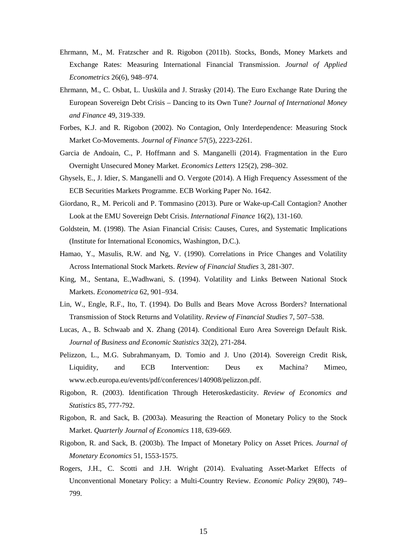- Ehrmann, M., M. Fratzscher and R. Rigobon (2011b). Stocks, Bonds, Money Markets and Exchange Rates: Measuring International Financial Transmission. *Journal of Applied Econometrics* 26(6), 948–974.
- Ehrmann, M., C. Osbat, L. Uusküla and J. Strasky (2014). The Euro Exchange Rate During the European Sovereign Debt Crisis – Dancing to its Own Tune? *Journal of International Money and Finance* 49, 319-339.
- Forbes, K.J. and R. Rigobon (2002). No Contagion, Only Interdependence: Measuring Stock Market Co-Movements. *Journal of Finance* 57(5), 2223-2261.
- Garcia de Andoain, C., P. Hoffmann and S. Manganelli (2014). Fragmentation in the Euro Overnight Unsecured Money Market. *Economics Letters* 125(2), 298–302.
- Ghysels, E., J. Idier, S. Manganelli and O. Vergote (2014). A High Frequency Assessment of the ECB Securities Markets Programme. ECB Working Paper No. 1642.
- Giordano, R., M. Pericoli and P. Tommasino (2013). Pure or Wake-up-Call Contagion? Another Look at the EMU Sovereign Debt Crisis. *International Finance* 16(2), 131-160.
- Goldstein, M. (1998). The Asian Financial Crisis: Causes, Cures, and Systematic Implications (Institute for International Economics, Washington, D.C.).
- Hamao, Y., Masulis, R.W. and Ng, V. (1990). Correlations in Price Changes and Volatility Across International Stock Markets. *Review of Financial Studies* 3, 281-307.
- King, M., Sentana, E.,Wadhwani, S. (1994). Volatility and Links Between National Stock Markets. *Econometrica* 62, 901–934.
- Lin, W., Engle, R.F., Ito, T. (1994). Do Bulls and Bears Move Across Borders? International Transmission of Stock Returns and Volatility. *Review of Financial Studies* 7, 507–538.
- Lucas, A., B. Schwaab and X. Zhang (2014). Conditional Euro Area Sovereign Default Risk. *Journal of Business and Economic Statistics* 32(2), 271-284.
- Pelizzon, L., M.G. Subrahmanyam, D. Tomio and J. Uno (2014). Sovereign Credit Risk, Liquidity, and ECB Intervention: Deus ex Machina? Mimeo, www.ecb.europa.eu/events/pdf/conferences/140908/pelizzon.pdf.
- Rigobon, R. (2003). Identification Through Heteroskedasticity. *Review of Economics and Statistics* 85, 777-792.
- Rigobon, R. and Sack, B. (2003a). Measuring the Reaction of Monetary Policy to the Stock Market. *Quarterly Journal of Economics* 118, 639-669.
- Rigobon, R. and Sack, B. (2003b). The Impact of Monetary Policy on Asset Prices. *Journal of Monetary Economics* 51, 1553-1575.
- Rogers, J.H., C. Scotti and J.H. Wright (2014). Evaluating Asset-Market Effects of Unconventional Monetary Policy: a Multi-Country Review. *Economic Policy* 29(80), 749– 799.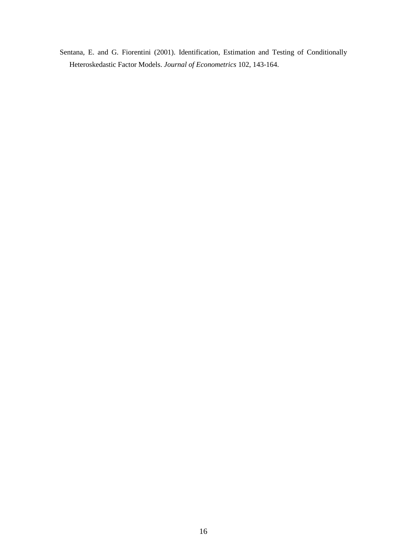Sentana, E. and G. Fiorentini (2001). Identification, Estimation and Testing of Conditionally Heteroskedastic Factor Models. *Journal of Econometrics* 102, 143-164.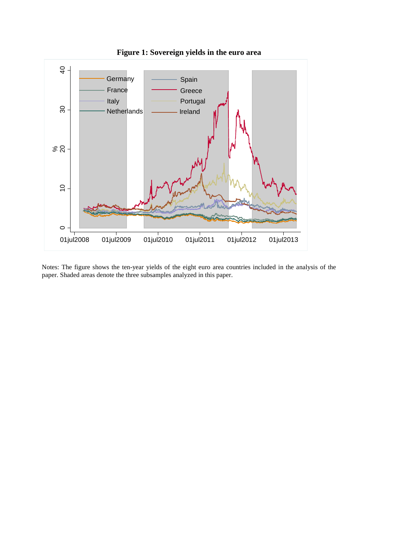

Notes: The figure shows the ten-year yields of the eight euro area countries included in the analysis of the paper. Shaded areas denote the three subsamples analyzed in this paper.

## **Figure 1: Sovereign yields in the euro area**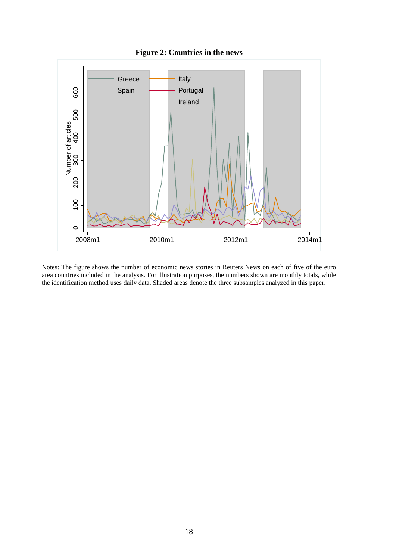

Notes: The figure shows the number of economic news stories in Reuters News on each of five of the euro area countries included in the analysis. For illustration purposes, the numbers shown are monthly totals, while the identification method uses daily data. Shaded areas denote the three subsamples analyzed in this paper.

**Figure 2: Countries in the news**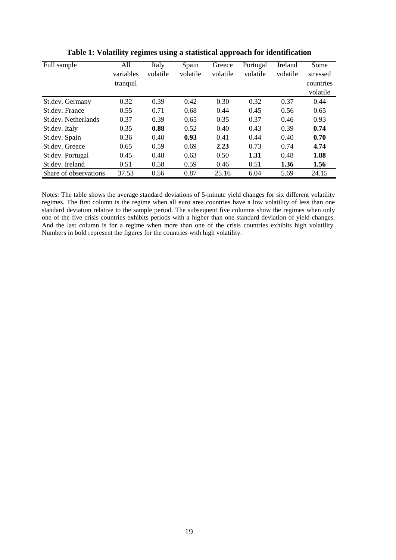| Full sample           | All       | Italy    | Spain    | Greece   | Portugal | Ireland  | Some      |
|-----------------------|-----------|----------|----------|----------|----------|----------|-----------|
|                       | variables | volatile | volatile | volatile | volatile | volatile | stressed  |
|                       | tranquil  |          |          |          |          |          | countries |
|                       |           |          |          |          |          |          | volatile  |
| St.dev. Germany       | 0.32      | 0.39     | 0.42     | 0.30     | 0.32     | 0.37     | 0.44      |
| St.dev. France        | 0.55      | 0.71     | 0.68     | 0.44     | 0.45     | 0.56     | 0.65      |
| St.dev. Netherlands   | 0.37      | 0.39     | 0.65     | 0.35     | 0.37     | 0.46     | 0.93      |
| St.dev. Italy         | 0.35      | 0.88     | 0.52     | 0.40     | 0.43     | 0.39     | 0.74      |
| St.dev. Spain         | 0.36      | 0.40     | 0.93     | 0.41     | 0.44     | 0.40     | 0.70      |
| St.dev. Greece        | 0.65      | 0.59     | 0.69     | 2.23     | 0.73     | 0.74     | 4.74      |
| St.dev. Portugal      | 0.45      | 0.48     | 0.63     | 0.50     | 1.31     | 0.48     | 1.88      |
| St.dev. Ireland       | 0.51      | 0.58     | 0.59     | 0.46     | 0.51     | 1.36     | 1.56      |
| Share of observations | 37.53     | 0.56     | 0.87     | 25.16    | 6.04     | 5.69     | 24.15     |

**Table 1: Volatility regimes using a statistical approach for identification**

Notes: The table shows the average standard deviations of 5-minute yield changes for six different volatility regimes. The first column is the regime when all euro area countries have a low volatility of less than one standard deviation relative to the sample period. The subsequent five columns show the regimes when only one of the five crisis countries exhibits periods with a higher than one standard deviation of yield changes. And the last column is for a regime when more than one of the crisis countries exhibits high volatility. Numbers in bold represent the figures for the countries with high volatility.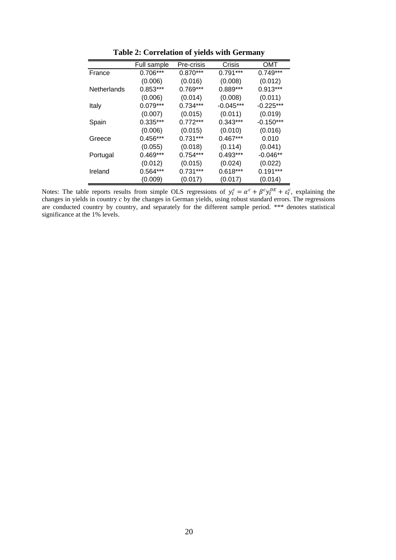|             | Full sample | Pre-crisis | Crisis      | <b>OMT</b>  |
|-------------|-------------|------------|-------------|-------------|
| France      | 0.706***    | $0.870***$ | $0.791***$  | $0.749***$  |
|             | (0.006)     | (0.016)    | (0.008)     | (0.012)     |
| Netherlands | 0.853***    | $0.769***$ | $0.889***$  | $0.913***$  |
|             | (0.006)     | (0.014)    | (0.008)     | (0.011)     |
| Italy       | $0.079***$  | $0.734***$ | $-0.045***$ | $-0.225***$ |
|             | (0.007)     | (0.015)    | (0.011)     | (0.019)     |
| Spain       | $0.335***$  | $0.772***$ | $0.343***$  | $-0.150***$ |
|             | (0.006)     | (0.015)    | (0.010)     | (0.016)     |
| Greece      | $0.456***$  | $0.731***$ | $0.467***$  | 0.010       |
|             | (0.055)     | (0.018)    | (0.114)     | (0.041)     |
| Portugal    | $0.469***$  | $0.754***$ | $0.493***$  | $-0.046**$  |
|             | (0.012)     | (0.015)    | (0.024)     | (0.022)     |
| Ireland     | $0.564***$  | $0.731***$ | $0.618***$  | $0.191***$  |
|             | (0.009)     | (0.017)    | (0.017)     | (0.014)     |

**Table 2: Correlation of yields with Germany**

Notes: The table reports results from simple OLS regressions of  $y_t^c = \alpha^c + \beta^c y_t^{DE} + \varepsilon_t^c$ , explaining the changes in yields in country *c* by the changes in German yields, using robust standard errors. The regressions are conducted country by country, and separately for the different sample period. \*\*\* denotes statistical significance at the 1% levels.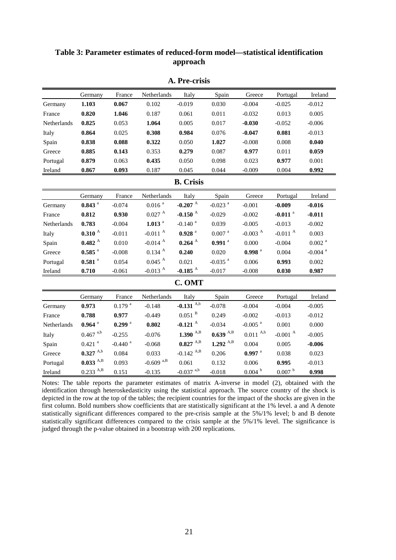#### **Table 3: Parameter estimates of reduced-form model—statistical identification approach**

|             | A. I IC-CIEDIS            |                       |                         |                         |                       |                        |                       |                       |  |  |  |
|-------------|---------------------------|-----------------------|-------------------------|-------------------------|-----------------------|------------------------|-----------------------|-----------------------|--|--|--|
|             | Germany                   | France                | Netherlands             | Italy                   | Spain                 | Greece                 | Portugal              | Ireland               |  |  |  |
| Germany     | 1.103                     | 0.067                 | 0.102                   | $-0.019$                | 0.030                 | $-0.004$               | $-0.025$              | $-0.012$              |  |  |  |
| France      | 0.820                     | 1.046                 | 0.187                   | 0.061                   | 0.011                 | $-0.032$               | 0.013                 | 0.005                 |  |  |  |
| Netherlands | 0.825                     | 0.053                 | 1.064                   | 0.005                   | 0.017                 | $-0.030$               | $-0.052$              | $-0.006$              |  |  |  |
| Italy       | 0.864                     | 0.025                 | 0.308                   | 0.984                   | 0.076                 | $-0.047$               | 0.081                 | $-0.013$              |  |  |  |
| Spain       | 0.838                     | 0.088                 | 0.322                   | 0.050                   | 1.027                 | $-0.008$               | 0.008                 | 0.040                 |  |  |  |
| Greece      | 0.885                     | 0.143                 | 0.353                   | 0.279                   | 0.087                 | 0.977                  | 0.011                 | 0.059                 |  |  |  |
| Portugal    | 0.879                     | 0.063                 | 0.435                   | 0.050                   | 0.098                 | 0.023                  | 0.977                 | 0.001                 |  |  |  |
| Ireland     | 0.867                     | 0.093                 | 0.187                   | 0.045                   | 0.044                 | $-0.009$               | 0.004                 | 0.992                 |  |  |  |
|             |                           |                       |                         | <b>B.</b> Crisis        |                       |                        |                       |                       |  |  |  |
|             | Germany                   | France                | Netherlands             | Italy                   | Spain                 | Greece                 | Portugal              | Ireland               |  |  |  |
| Germany     | $0.843$ <sup>a</sup>      | $-0.074$              | $0.016$ <sup>a</sup>    | -0.207 $^{\rm A}$       | $-0.023$ <sup>a</sup> | $-0.001$               | $-0.009$              | $-0.016$              |  |  |  |
| France      | 0.812                     | 0.930                 | $0.027$ <sup>A</sup>    | $-0.150$ <sup>A</sup>   | $-0.029$              | $-0.002$               | $-0.011$ <sup>a</sup> | $-0.011$              |  |  |  |
| Netherlands | 0.783                     | $-0.004$              | $1.013$ $^{\rm a}$      | $-0.140$ <sup>a</sup>   | 0.039                 | $-0.005$               | $-0.013$              | $-0.002$              |  |  |  |
| Italy       | $0.310$ <sup>A</sup>      | $-0.011$              | $-0.011$ <sup>A</sup>   | $0.928$ <sup>a</sup>    | $0.007$ $^{\rm a}$    | $-0.003$ <sup>A</sup>  | $-0.011$ <sup>A</sup> | 0.003                 |  |  |  |
| Spain       | $0.482$ <sup>A</sup>      | 0.010                 | $-0.014$ <sup>A</sup>   | $0.264$ <sup>A</sup>    | $0.991$ <sup>a</sup>  | 0.000                  | $-0.004$              | $0.002$ $^{\rm a}$    |  |  |  |
| Greece      | $0.585$ $^{\rm a}$        | $-0.008$              | $0.134$ <sup>A</sup>    | 0.240                   | 0.020                 | $0.998$ <sup>a</sup>   | 0.004                 | $-0.004$ <sup>a</sup> |  |  |  |
| Portugal    | $0.581$ <sup>a</sup>      | 0.054                 | $0.045$ <sup>A</sup>    | 0.021                   | $-0.035$ <sup>a</sup> | 0.006                  | 0.993                 | 0.002                 |  |  |  |
| Ireland     | 0.710                     | $-0.061$              | -0.013 $^{\rm A}$       | $-0.185$ <sup>A</sup>   | $-0.017$              | $-0.008$               | 0.030                 | 0.987                 |  |  |  |
|             |                           |                       |                         | <b>C. OMT</b>           |                       |                        |                       |                       |  |  |  |
|             | Germany                   | France                | Netherlands             | Italy                   | Spain                 | Greece                 | Portugal              | Ireland               |  |  |  |
| Germany     | 0.973                     | $0.179$ <sup>a</sup>  | $-0.148$                | $-0.131$ $^{A,b}$       | $-0.078$              | $-0.004$               | $-0.004$              | $-0.005$              |  |  |  |
| France      | 0.788                     | 0.977                 | $-0.449$                | $0.051$ $^{\mathrm{B}}$ | 0.249                 | $-0.002$               | $-0.013$              | $-0.012$              |  |  |  |
| Netherlands | $0.964$ <sup>a</sup>      | $0.299$ <sup>a</sup>  | 0.802                   | $-0.121$ <sup>A</sup>   | $-0.034$              | -0.005 $^{\rm a}$      | 0.001                 | 0.000                 |  |  |  |
| Italy       | $0.467$ <sup>a,b</sup>    | $-0.255$              | $-0.076$                | $1.390$ A,B             | $0.639$ A,B           | $0.011$ <sup>A,b</sup> | $-0.001$ <sup>A</sup> | $-0.005$              |  |  |  |
| Spain       | $0.421$ <sup>a</sup>      | $-0.440$ <sup>a</sup> | $-0.068$                | $0.827~^{\mathrm{A,B}}$ | $1.292$ $^{A,B}$      | 0.004                  | 0.005                 | $-0.006$              |  |  |  |
| Greece      | $0.327~^{\mathrm{A,b}}$   | 0.084                 | 0.033                   | $-0.142$ $^{A,B}$       | 0.206                 | $0.997$ <sup>a</sup>   | 0.038                 | 0.023                 |  |  |  |
| Portugal    | $0.033$ $^{\mathrm{A,B}}$ | 0.093                 | $-0.609$ <sup>a,B</sup> | 0.061                   | 0.132                 | 0.006                  | 0.995                 | $-0.013$              |  |  |  |
| Ireland     | $0.233$ <sup>A,B</sup>    | 0.151                 | $-0.135$                | $-0.037$ <sup>a,b</sup> | $-0.018$              | 0.004 <sup>b</sup>     | 0.007 h               | 0.998                 |  |  |  |

**A. Pre-crisis**

Notes: The table reports the parameter estimates of matrix A-inverse in model (2), obtained with the identification through heteroskedasticity using the statistical approach. The source country of the shock is depicted in the row at the top of the tables; the recipient countries for the impact of the shocks are given in the first column. Bold numbers show coefficients that are statistically significant at the 1% level. a and A denote statistically significant differences compared to the pre-crisis sample at the 5%/1% level; b and B denote statistically significant differences compared to the crisis sample at the 5%/1% level. The significance is judged through the p-value obtained in a bootstrap with 200 replications.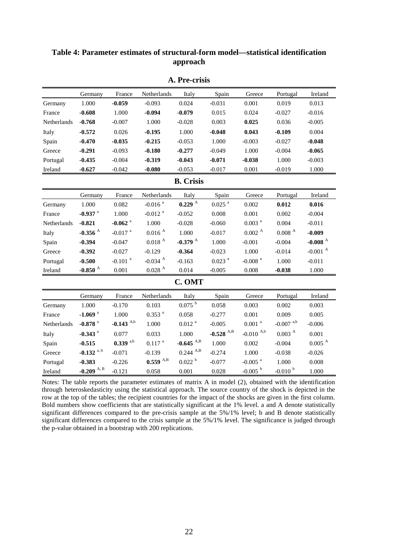|             | A. Pre-crisis            |                       |                           |                          |                      |                       |                         |                       |  |  |  |  |
|-------------|--------------------------|-----------------------|---------------------------|--------------------------|----------------------|-----------------------|-------------------------|-----------------------|--|--|--|--|
|             | Germany                  | France                | Netherlands               | Italy                    | Spain                | Greece                | Portugal                | Ireland               |  |  |  |  |
| Germany     | 1.000                    | $-0.059$              | $-0.093$                  | 0.024                    | $-0.031$             | 0.001                 | 0.019                   | 0.013                 |  |  |  |  |
| France      | $-0.608$                 | 1.000                 | $-0.094$                  | $-0.079$                 | 0.015                | 0.024                 | $-0.027$                | $-0.016$              |  |  |  |  |
| Netherlands | $-0.768$                 | $-0.007$              | 1.000                     | $-0.028$                 | 0.003                | 0.025                 | 0.036                   | $-0.005$              |  |  |  |  |
| Italy       | $-0.572$                 | 0.026                 | $-0.195$                  | 1.000                    | $-0.048$             | 0.043                 | $-0.109$                | 0.004                 |  |  |  |  |
| Spain       | $-0.470$                 | $-0.035$              | $-0.215$                  | $-0.053$                 | 1.000                | $-0.003$              | $-0.027$                | $-0.048$              |  |  |  |  |
| Greece      | $-0.291$                 | $-0.093$              | $-0.180$                  | $-0.277$                 | $-0.049$             | 1.000                 | $-0.004$                | $-0.065$              |  |  |  |  |
| Portugal    | $-0.435$                 | $-0.004$              | $-0.319$                  | $-0.043$                 | $-0.071$             | $-0.038$              | 1.000                   | $-0.003$              |  |  |  |  |
| Ireland     | $-0.627$                 | $-0.042$              | $-0.080$                  | $-0.053$                 | $-0.017$             | 0.001                 | $-0.019$                | 1.000                 |  |  |  |  |
|             |                          |                       |                           | <b>B.</b> Crisis         |                      |                       |                         |                       |  |  |  |  |
|             | Germany                  | France                | Netherlands               | Italy                    | Spain                | Greece                | Portugal                | Ireland               |  |  |  |  |
| Germany     | 1.000                    | 0.082                 | -0.016 $^{a}$             | $0.229$ $^{\rm A}$       | $0.025$ $^{\rm a}$   | 0.002                 | 0.012                   | 0.016                 |  |  |  |  |
| France      | $-0.937$ <sup>a</sup>    | 1.000                 | $-0.012$ <sup>a</sup>     | $-0.052$                 | 0.008                | 0.001                 | 0.002                   | $-0.004$              |  |  |  |  |
| Netherlands | $-0.821$                 | $-0.062$ <sup>a</sup> | 1.000                     | $-0.028$                 | $-0.060$             | $0.003$ <sup>a</sup>  | 0.004                   | $-0.011$              |  |  |  |  |
| Italy       | -0.356 $^{\rm A}$        | -0.017 $^{\rm a}$     | $0.016$ $^{\rm A}$        | 1.000                    | $-0.017$             | 0.002 <sup>A</sup>    | $0.008$ $^{\rm A}$      | $-0.009$              |  |  |  |  |
| Spain       | $-0.394$                 | $-0.047$              | $0.018$ <sup>A</sup>      | $-0.379$ $^{A}$          | 1.000                | $-0.001$              | $-0.004$                | -0.008 $^{\rm A}$     |  |  |  |  |
| Greece      | $-0.392$                 | $-0.027$              | $-0.129$                  | $-0.364$                 | $-0.023$             | 1.000                 | $-0.014$                | $-0.001$ <sup>A</sup> |  |  |  |  |
| Portugal    | $-0.500$                 | $-0.101$ <sup>a</sup> | -0.034 $^{\rm A}$         | $-0.163$                 | $0.023$ <sup>a</sup> | -0.008 $^{\rm a}$     | 1.000                   | $-0.011$              |  |  |  |  |
| Ireland     | -0.850 $^{\rm A}$        | 0.001                 | $0.028$ $^{\rm A}$        | 0.014                    | $-0.005$             | 0.008                 | $-0.038$                | 1.000                 |  |  |  |  |
|             |                          |                       |                           | <b>C. OMT</b>            |                      |                       |                         |                       |  |  |  |  |
|             | Germany                  | France                | Netherlands               | Italy                    | Spain                | Greece                | Portugal                | Ireland               |  |  |  |  |
| Germany     | 1.000                    | $-0.170$              | 0.103                     | $0.075$ <sup>b</sup>     | 0.058                | 0.003                 | 0.002                   | 0.003                 |  |  |  |  |
| France      | $-1.069$ <sup>a</sup>    | 1.000                 | $0.353$ <sup>a</sup>      | 0.058                    | $-0.277$             | 0.001                 | 0.009                   | 0.005                 |  |  |  |  |
| Netherlands | -0.878 $^{\circ}$        | $-0.143$ $^{A,b}$     | 1.000                     | $0.012$ $^{\rm a}$       | $-0.005$             | $0.001$ $^{\rm a}$    | $-0.007$ <sup>a,b</sup> | $-0.006$              |  |  |  |  |
| Italy       | $-0.343$ <sup>a</sup>    | 0.077                 | 0.033                     | 1.000                    | $-0.528$ $^{A,B}$    | $-0.010$ A,b          | 0.003 <sup>A</sup>      | 0.001                 |  |  |  |  |
| Spain       | $-0.515$                 | $0.339$ a,b           | $0.117$ $^{\rm a}$        | -0.645 $^{\mathrm{A,B}}$ | 1.000                | 0.002                 | $-0.004$                | $0.005$ $^{\rm A}$    |  |  |  |  |
| Greece      | $-0.132$ <sup>a, b</sup> | $-0.071$              | $-0.139$                  | $0.244$ <sup>A,B</sup>   | $-0.274$             | 1.000                 | $-0.038$                | $-0.026$              |  |  |  |  |
| Portugal    | $-0.383$                 | $-0.226$              | $0.559$ $^{\mathrm{A,B}}$ | 0.022 h                  | $-0.077$             | $-0.005$ <sup>a</sup> | 1.000                   | 0.008                 |  |  |  |  |
| Ireland     | $-0.209$ A, B            | $-0.121$              | 0.058                     | 0.001                    | 0.028                | $-0.005$ <sup>b</sup> | -0.010 $^{\rm b}$       | 1.000                 |  |  |  |  |

#### **Table 4: Parameter estimates of structural-form model—statistical identification approach**

Notes: The table reports the parameter estimates of matrix A in model (2), obtained with the identification through heteroskedasticity using the statistical approach. The source country of the shock is depicted in the row at the top of the tables; the recipient countries for the impact of the shocks are given in the first column. Bold numbers show coefficients that are statistically significant at the 1% level. a and A denote statistically significant differences compared to the pre-crisis sample at the 5%/1% level; b and B denote statistically significant differences compared to the crisis sample at the 5%/1% level. The significance is judged through the p-value obtained in a bootstrap with 200 replications.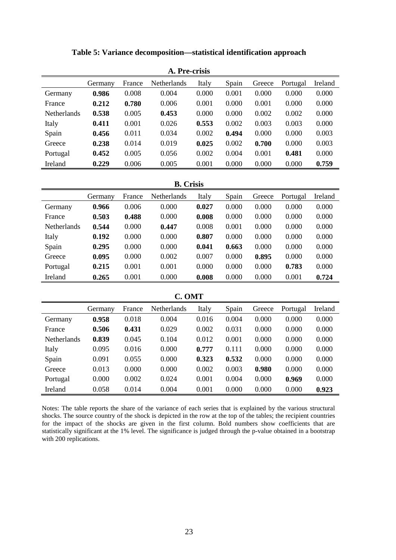|                    | A. Pre-crisis |        |                    |       |       |        |          |         |  |  |
|--------------------|---------------|--------|--------------------|-------|-------|--------|----------|---------|--|--|
|                    | Germany       | France | <b>Netherlands</b> | Italy | Spain | Greece | Portugal | Ireland |  |  |
| Germany            | 0.986         | 0.008  | 0.004              | 0.000 | 0.001 | 0.000  | 0.000    | 0.000   |  |  |
| France             | 0.212         | 0.780  | 0.006              | 0.001 | 0.000 | 0.001  | 0.000    | 0.000   |  |  |
| <b>Netherlands</b> | 0.538         | 0.005  | 0.453              | 0.000 | 0.000 | 0.002  | 0.002    | 0.000   |  |  |
| Italy              | 0.411         | 0.001  | 0.026              | 0.553 | 0.002 | 0.003  | 0.003    | 0.000   |  |  |
| Spain              | 0.456         | 0.011  | 0.034              | 0.002 | 0.494 | 0.000  | 0.000    | 0.003   |  |  |
| Greece             | 0.238         | 0.014  | 0.019              | 0.025 | 0.002 | 0.700  | 0.000    | 0.003   |  |  |
| Portugal           | 0.452         | 0.005  | 0.056              | 0.002 | 0.004 | 0.001  | 0.481    | 0.000   |  |  |
| Ireland            | 0.229         | 0.006  | 0.005              | 0.001 | 0.000 | 0.000  | 0.000    | 0.759   |  |  |

**Table 5: Variance decomposition—statistical identification approach**

**B. Crisis**

|                    | Germany | France | Netherlands | Italy | Spain | Greece | Portugal | Ireland |
|--------------------|---------|--------|-------------|-------|-------|--------|----------|---------|
| Germany            | 0.966   | 0.006  | 0.000       | 0.027 | 0.000 | 0.000  | 0.000    | 0.000   |
| France             | 0.503   | 0.488  | 0.000       | 0.008 | 0.000 | 0.000  | 0.000    | 0.000   |
| <b>Netherlands</b> | 0.544   | 0.000  | 0.447       | 0.008 | 0.001 | 0.000  | 0.000    | 0.000   |
| Italy              | 0.192   | 0.000  | 0.000       | 0.807 | 0.000 | 0.000  | 0.000    | 0.000   |
| Spain              | 0.295   | 0.000  | 0.000       | 0.041 | 0.663 | 0.000  | 0.000    | 0.000   |
| Greece             | 0.095   | 0.000  | 0.002       | 0.007 | 0.000 | 0.895  | 0.000    | 0.000   |
| Portugal           | 0.215   | 0.001  | 0.001       | 0.000 | 0.000 | 0.000  | 0.783    | 0.000   |
| <b>Ireland</b>     | 0.265   | 0.001  | 0.000       | 0.008 | 0.000 | 0.000  | 0.001    | 0.724   |

**C. OMT**

|                    | Germany | France | <b>Netherlands</b> | Italy | Spain | Greece | Portugal | Ireland |
|--------------------|---------|--------|--------------------|-------|-------|--------|----------|---------|
| Germany            | 0.958   | 0.018  | 0.004              | 0.016 | 0.004 | 0.000  | 0.000    | 0.000   |
| France             | 0.506   | 0.431  | 0.029              | 0.002 | 0.031 | 0.000  | 0.000    | 0.000   |
| <b>Netherlands</b> | 0.839   | 0.045  | 0.104              | 0.012 | 0.001 | 0.000  | 0.000    | 0.000   |
| Italy              | 0.095   | 0.016  | 0.000              | 0.777 | 0.111 | 0.000  | 0.000    | 0.000   |
| Spain              | 0.091   | 0.055  | 0.000              | 0.323 | 0.532 | 0.000  | 0.000    | 0.000   |
| Greece             | 0.013   | 0.000  | 0.000              | 0.002 | 0.003 | 0.980  | 0.000    | 0.000   |
| Portugal           | 0.000   | 0.002  | 0.024              | 0.001 | 0.004 | 0.000  | 0.969    | 0.000   |
| Ireland            | 0.058   | 0.014  | 0.004              | 0.001 | 0.000 | 0.000  | 0.000    | 0.923   |

Notes: The table reports the share of the variance of each series that is explained by the various structural shocks. The source country of the shock is depicted in the row at the top of the tables; the recipient countries for the impact of the shocks are given in the first column. Bold numbers show coefficients that are statistically significant at the 1% level. The significance is judged through the p-value obtained in a bootstrap with 200 replications.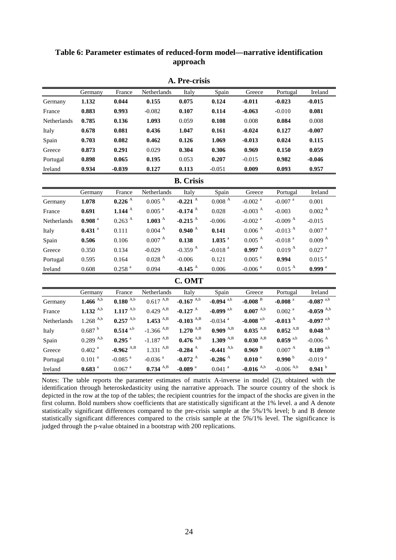|                  | A. Pre-crisis          |                        |                           |                           |                         |                           |                           |                         |  |  |  |  |
|------------------|------------------------|------------------------|---------------------------|---------------------------|-------------------------|---------------------------|---------------------------|-------------------------|--|--|--|--|
|                  | Germany                | France                 | Netherlands               | Italy                     | Spain                   | Greece                    | Portugal                  | Ireland                 |  |  |  |  |
| Germany          | 1.132                  | 0.044                  | 0.155                     | 0.075                     | 0.124                   | $-0.011$                  | $-0.023$                  | $-0.015$                |  |  |  |  |
| France           | 0.883                  | 0.993                  | $-0.082$                  | 0.107                     | 0.114                   | $-0.063$                  | $-0.010$                  | 0.081                   |  |  |  |  |
| Netherlands      | 0.785                  | 0.136                  | 1.093                     | 0.059                     | 0.108                   | 0.008                     | 0.084                     | 0.008                   |  |  |  |  |
| Italy            | 0.678                  | 0.081                  | 0.436                     | 1.047                     | 0.161                   | $-0.024$                  | 0.127                     | $-0.007$                |  |  |  |  |
| Spain            | 0.703                  | 0.082                  | 0.462                     | 0.126                     | 1.069                   | $-0.013$                  | 0.024                     | 0.115                   |  |  |  |  |
| Greece           | 0.873                  | 0.291                  | 0.029                     | 0.304                     | 0.306                   | 0.969                     | 0.150                     | 0.059                   |  |  |  |  |
| Portugal         | 0.898                  | 0.065                  | 0.195                     | 0.053                     | 0.207                   | $-0.015$                  | 0.982                     | $-0.046$                |  |  |  |  |
| Ireland          | 0.934                  | $-0.039$               | 0.127                     | 0.113                     | $-0.051$                | 0.009                     | 0.093                     | 0.957                   |  |  |  |  |
| <b>B.</b> Crisis |                        |                        |                           |                           |                         |                           |                           |                         |  |  |  |  |
|                  | Germany                | France                 | Netherlands               | Italy                     | Spain                   | Greece                    | Portugal                  | Ireland                 |  |  |  |  |
| Germany          | 1.078                  | $0.226$ <sup>A</sup>   | $0.005$ $^{\rm A}$        | $-0.221$ $^{A}$           | $0.008$ $^{\rm A}$      | $-0.002$ <sup>a</sup>     | $-0.007$ <sup>a</sup>     | 0.001                   |  |  |  |  |
| France           | 0.691                  | $1.144$ <sup>A</sup>   | $0.005$ $^{\rm a}$        | $-0.174$ $^{A}$           | 0.028                   | $-0.003$ <sup>A</sup>     | $-0.003$                  | 0.002 <sup>A</sup>      |  |  |  |  |
| Netherlands      | $0.908$ <sup>a</sup>   | $0.263$ <sup>A</sup>   | $1.003$ <sup>A</sup>      | -0.215 $^{\rm A}$         | $-0.006$                | $-0.002$ <sup>a</sup>     | $-0.009$ <sup>A</sup>     | $-0.015$                |  |  |  |  |
| Italy            | $0.431$ <sup>a</sup>   | 0.111                  | $0.004$ <sup>A</sup>      | $0.940$ <sup>A</sup>      | 0.141                   | $0.006$ <sup>A</sup>      | $-0.013$ <sup>A</sup>     | $0.007$ $^{\rm a}$      |  |  |  |  |
| Spain            | 0.506                  | 0.106                  | $0.007$ $^{\rm A}$        | 0.138                     | $1.035$ <sup>a</sup>    | $0.005$ $^{\rm A}$        | -0.018 $^{\rm a}$         | 0.009 <sup>A</sup>      |  |  |  |  |
| Greece           | 0.350                  | 0.134                  | $-0.029$                  | $-0.359$ <sup>A</sup>     | $-0.018$ <sup>a</sup>   | $0.997$ <sup>A</sup>      | 0.019 <sup>A</sup>        | $0.027$ <sup>a</sup>    |  |  |  |  |
| Portugal         | 0.595                  | 0.164                  | $0.028$ $^{\rm A}$        | $-0.006$                  | 0.121                   | $0.005$ <sup>a</sup>      | 0.994                     | $0.015$ $^{\rm a}$      |  |  |  |  |
| Ireland          | 0.608                  | $0.258$ <sup>a</sup>   | 0.094                     | $-0.145$ <sup>A</sup>     | 0.006                   | $-0.006$ <sup>a</sup>     | $0.015$ <sup>A</sup>      | $0.999$ <sup>a</sup>    |  |  |  |  |
|                  |                        |                        |                           | C. OMT                    |                         |                           |                           |                         |  |  |  |  |
|                  | Germany                | France                 | Netherlands               | Italy                     | Spain                   | Greece                    | Portugal                  | Ireland                 |  |  |  |  |
| Germany          | $1.466$ <sup>A,b</sup> | $0.180$ A,b            | $0.617$ $^{\mathrm{A,B}}$ | $-0.167$ <sup>A,b</sup>   | $-0.094$ <sup>a,b</sup> | -0.008 $^{\mathrm{B}}$    | $-0.008$ <sup>a</sup>     | $-0.087$ <sup>a,b</sup> |  |  |  |  |
| France           | $1.132$ <sup>A,b</sup> | $1.117$ <sup>A,b</sup> | $0.429$ <sup>A,B</sup>    | -0.127 $^{\rm A}$         | $-0.099$ <sup>a,b</sup> | $0.007$ A,b               | $0.002$ $^{\rm a}$        | $-0.059$ <sup>A,b</sup> |  |  |  |  |
| Netherlands      | $1.268$ <sup>A,b</sup> | $0.257$ <sup>A,b</sup> | $1.453$ $^{A,B}$          | $-0.103$ $^{A,B}$         | $-0.034$ <sup>a</sup>   | $-0.008$ <sup>a,b</sup>   | $-0.013$ <sup>A</sup>     | $-0.097$ <sup>a,b</sup> |  |  |  |  |
| Italy            | $0.687$ $^{\rm b}$     | $0.514$ <sup>a,b</sup> | $-1.366$ $^{A,B}$         | $1.270$ A,B               | $0.909$ A,B             | $0.035$ $^{\mathrm{A,B}}$ | $0.052$ $^{\mathrm{A,B}}$ | $0.048$ <sup>a,b</sup>  |  |  |  |  |
| Spain            | $0.289$ A,b            | $0.295$ <sup>a</sup>   | $-1.187$ $^{A,B}$         | $0.476$ $^{\mathrm{A,B}}$ | $1.309$ A,B             | $0.030$ $^{\mathrm{A,B}}$ | $0.059$ <sup>a,b</sup>    | -0.006 $^{\rm A}$       |  |  |  |  |
| Greece           | $0.402$ $^{\rm a}$     | $-0.962$ A,B           | $1.331$ <sup>A,B</sup>    | $-0.284$ $^{A}$           | $-0.441$ <sup>A,b</sup> | $0.969$ <sup>B</sup>      | 0.007 <sup>A</sup>        | $0.189^{a,b}$           |  |  |  |  |
| Portugal         | $0.101$ <sup>a</sup>   | -0.085 $^{\rm a}$      | -0.036 $^{\rm a}$         | -0.072 $^{\rm A}$         | -0.286 $^{\rm A}$       | $0.010$ $^{\rm a}$        | 0.990h                    | -0.019 $^{\circ}$       |  |  |  |  |
| Ireland          | $0.683$ $^{\rm a}$     | $0.067$ $^{\rm a}$     | $0.734$ $^{\mathrm{A,B}}$ | $-0.089$ <sup>a</sup>     | $0.041$ $^{\rm a}$      | $-0.016$ <sup>A,b</sup>   | $-0.006$ <sup>A,b</sup>   | $0.941$ <sup>b</sup>    |  |  |  |  |

**Table 6: Parameter estimates of reduced-form model—narrative identification approach**

Notes: The table reports the parameter estimates of matrix A-inverse in model (2), obtained with the identification through heteroskedasticity using the narrative approach. The source country of the shock is depicted in the row at the top of the tables; the recipient countries for the impact of the shocks are given in the first column. Bold numbers show coefficients that are statistically significant at the 1% level. a and A denote statistically significant differences compared to the pre-crisis sample at the 5%/1% level; b and B denote statistically significant differences compared to the crisis sample at the 5%/1% level. The significance is judged through the p-value obtained in a bootstrap with 200 replications.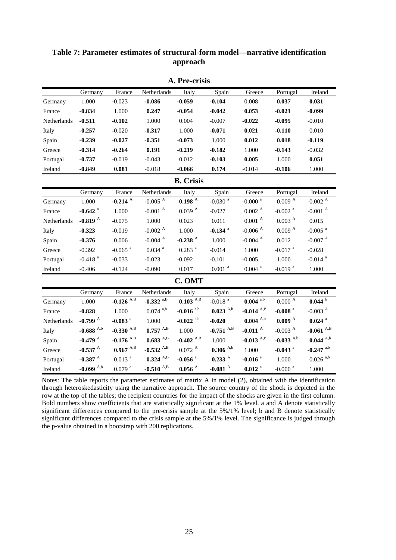|                  | A. Pre-crisis           |                           |                           |                           |                         |                        |                       |                          |  |  |  |  |
|------------------|-------------------------|---------------------------|---------------------------|---------------------------|-------------------------|------------------------|-----------------------|--------------------------|--|--|--|--|
|                  | Germany                 | France                    | Netherlands               | Italy                     | Spain                   | Greece                 | Portugal              | Ireland                  |  |  |  |  |
| Germany          | 1.000                   | $-0.023$                  | $-0.086$                  | $-0.059$                  | $-0.104$                | 0.008                  | 0.037                 | 0.031                    |  |  |  |  |
| France           | $-0.834$                | 1.000                     | 0.247                     | $-0.054$                  | $-0.042$                | 0.053                  | $-0.021$              | $-0.099$                 |  |  |  |  |
| Netherlands      | $-0.511$                | $-0.102$                  | 1.000                     | 0.004                     | $-0.007$                | $-0.022$               | $-0.095$              | $-0.010$                 |  |  |  |  |
| Italy            | $-0.257$                | $-0.020$                  | $-0.317$                  | 1.000                     | $-0.071$                | 0.021                  | $-0.110$              | 0.010                    |  |  |  |  |
| Spain            | $-0.239$                | $-0.027$                  | $-0.351$                  | $-0.073$                  | 1.000                   | 0.012                  | 0.018                 | $-0.119$                 |  |  |  |  |
| Greece           | $-0.314$                | $-0.264$                  | 0.191                     | $-0.219$                  | $-0.182$                | 1.000                  | $-0.143$              | $-0.032$                 |  |  |  |  |
| Portugal         | $-0.737$                | $-0.019$                  | $-0.043$                  | 0.012                     | $-0.103$                | 0.005                  | 1.000                 | 0.051                    |  |  |  |  |
| Ireland          | $-0.849$                | 0.081                     | $-0.018$                  | $-0.066$                  | 0.174                   | $-0.014$               | $-0.106$              | 1.000                    |  |  |  |  |
| <b>B.</b> Crisis |                         |                           |                           |                           |                         |                        |                       |                          |  |  |  |  |
|                  | Germany                 | France                    | Netherlands               | Italy                     | Spain                   | Greece                 | Portugal              | Ireland                  |  |  |  |  |
| Germany          | 1.000                   | $-0.214$ <sup>A</sup>     | $-0.005$ <sup>A</sup>     | $0.198$ $^{\rm A}$        | -0.030 $^{\rm a}$       | -0.000 $^{\rm a}$      | 0.009 <sup>A</sup>    | $-0.002$ <sup>A</sup>    |  |  |  |  |
| France           | $-0.642$ <sup>a</sup>   | 1.000                     | -0.001 $^{\rm A}$         | $0.039$ $^{\rm A}$        | $-0.027$                | $0.002$ $^{\rm A}$     | $-0.002$ <sup>a</sup> | $-0.001$ <sup>A</sup>    |  |  |  |  |
| Netherlands      | $-0.819$ <sup>A</sup>   | $-0.075$                  | 1.000                     | 0.023                     | 0.011                   | 0.001 <sup>A</sup>     | 0.003 <sup>A</sup>    | 0.015                    |  |  |  |  |
| Italy            | $-0.323$                | $-0.019$                  | -0.002 $^{\rm A}$         | 1.000                     | $-0.134$ <sup>a</sup>   | $-0.006$ <sup>A</sup>  | 0.009 <sup>A</sup>    | -0.005 $^{\rm a}$        |  |  |  |  |
| Spain            | $-0.376$                | 0.006                     | -0.004 $^{\rm A}$         | $-0.238$ <sup>A</sup>     | 1.000                   | $-0.004$ <sup>A</sup>  | 0.012                 | $-0.007$ <sup>A</sup>    |  |  |  |  |
| Greece           | $-0.392$                | $-0.065$ <sup>a</sup>     | $0.034$ <sup>a</sup>      | $0.283$ <sup>a</sup>      | $-0.014$                | 1.000                  | $-0.017$ <sup>a</sup> | $-0.028$                 |  |  |  |  |
| Portugal         | $-0.418$ <sup>a</sup>   | $-0.033$                  | $-0.023$                  | $-0.092$                  | $-0.101$                | $-0.005$               | 1.000                 | -0.014 $^{\rm a}$        |  |  |  |  |
| Ireland          | $-0.406$                | $-0.124$                  | $-0.090$                  | 0.017                     | $0.001$ $^{\rm a}$      | $0.004$ <sup>a</sup>   | $-0.019$ <sup>a</sup> | 1.000                    |  |  |  |  |
|                  |                         |                           |                           | C. OMT                    |                         |                        |                       |                          |  |  |  |  |
|                  | Germany                 | France                    | Netherlands               | Italy                     | Spain                   | Greece                 | Portugal              | Ireland                  |  |  |  |  |
| Germany          | 1.000                   | $-0.126$ $^{A,B}$         | $-0.332$ <sup>a,B</sup>   | $0.103$ $^{\mathrm{A,B}}$ | $-0.018$ <sup>a</sup>   | $0.004$ <sup>a,b</sup> | 0.000 <sup>A</sup>    | $0.044$ b                |  |  |  |  |
| France           | $-0.828$                | 1.000                     | $0.074$ <sup>a,b</sup>    | $-0.016$ a,b              | $0.023$ <sup>A,b</sup>  | $-0.014$ $^{A,B}$      | -0.008 $^{\rm a}$     | -0.003 $^{\rm A}$        |  |  |  |  |
| Netherlands      | $-0.799$ <sup>A</sup>   | $-0.083$ <sup>a</sup>     | 1.000                     | $-0.022$ <sup>a,b</sup>   | $-0.020$                | $0.004$ <sup>A,b</sup> | $0.009$ <sup>A</sup>  | $0.024$ <sup>a</sup>     |  |  |  |  |
| Italy            | $-0.688$ <sup>A,b</sup> | $-0.330$ $^{A,B}$         | $0.757$ $^{\mathrm{A,B}}$ | 1.000                     | $-0.751$ <sup>A,B</sup> | -0.011 $^{\rm A}$      | $-0.003$ <sup>A</sup> | -0.061 $^{\mathrm{A,B}}$ |  |  |  |  |
| Spain            | $-0.479$ <sup>A</sup>   | $-0.176$ $^{A,B}$         | $0.683$ $^{\mathrm{A,B}}$ | $-0.402$ $^{A,B}$         | 1.000                   | $-0.013$ $^{A,B}$      | $-0.033$ A,b          | $0.044$ <sup>A,b</sup>   |  |  |  |  |
| Greece           | -0.537 $^{\text{A}}$    | $0.967$ $^{\mathrm{A,B}}$ | $-0.532$ $^{A,B}$         | $0.072$ $^{\rm A}$        | $0.306$ A,b             | 1.000                  | $-0.043$ <sup>a</sup> | $-0.247$ <sup>a,b</sup>  |  |  |  |  |
| Portugal         | -0.387 $^{\rm A}$       | $0.013$ $^{\rm a}$        | $0.324$ $^{\mathrm{A,B}}$ | -0.056 $^{\circ}$         | $0.233$ <sup>A</sup>    | $-0.016$ <sup>a</sup>  | 1.000                 | $0.026$ <sup>a,b</sup>   |  |  |  |  |
| Ireland          | $-0.099$ <sup>A,b</sup> | $0.079$ $^{\rm a}$        | $-0.510$ $^{A,B}$         | $0.056$ $^{\rm A}$        | -0.081 $^{\rm A}$       | $0.012$ <sup>a</sup>   | -0.000 $^{\rm a}$     | 1.000                    |  |  |  |  |

**Table 7: Parameter estimates of structural-form model—narrative identification approach**

Notes: The table reports the parameter estimates of matrix A in model (2), obtained with the identification through heteroskedasticity using the narrative approach. The source country of the shock is depicted in the row at the top of the tables; the recipient countries for the impact of the shocks are given in the first column. Bold numbers show coefficients that are statistically significant at the 1% level. a and A denote statistically significant differences compared to the pre-crisis sample at the 5%/1% level; b and B denote statistically significant differences compared to the crisis sample at the 5%/1% level. The significance is judged through the p-value obtained in a bootstrap with 200 replications.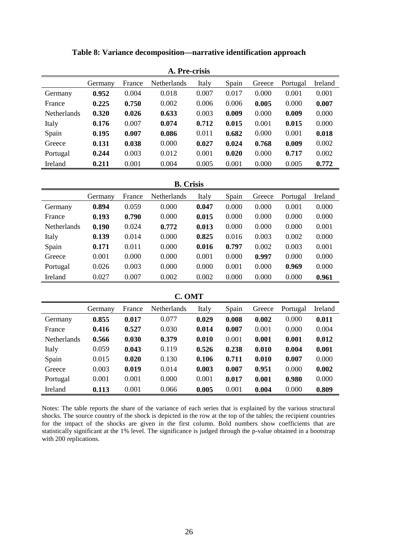|                    | A. Pre-crisis |        |                    |       |       |        |          |         |  |  |
|--------------------|---------------|--------|--------------------|-------|-------|--------|----------|---------|--|--|
|                    | Germany       | France | <b>Netherlands</b> | Italy | Spain | Greece | Portugal | Ireland |  |  |
| Germany            | 0.952         | 0.004  | 0.018              | 0.007 | 0.017 | 0.000  | 0.001    | 0.001   |  |  |
| France             | 0.225         | 0.750  | 0.002              | 0.006 | 0.006 | 0.005  | 0.000    | 0.007   |  |  |
| <b>Netherlands</b> | 0.320         | 0.026  | 0.633              | 0.003 | 0.009 | 0.000  | 0.009    | 0.000   |  |  |
| Italy              | 0.176         | 0.007  | 0.074              | 0.712 | 0.015 | 0.001  | 0.015    | 0.000   |  |  |
| Spain              | 0.195         | 0.007  | 0.086              | 0.011 | 0.682 | 0.000  | 0.001    | 0.018   |  |  |
| Greece             | 0.131         | 0.038  | 0.000              | 0.027 | 0.024 | 0.768  | 0.009    | 0.002   |  |  |
| Portugal           | 0.244         | 0.003  | 0.012              | 0.001 | 0.020 | 0.000  | 0.717    | 0.002   |  |  |
| Ireland            | 0.211         | 0.001  | 0.004              | 0.005 | 0.001 | 0.000  | 0.005    | 0.772   |  |  |

**Table 8: Variance decomposition—narrative identification approach**

**B. Crisis**

|                    | Germany | France | Netherlands | Italy | Spain | Greece | Portugal | Ireland |
|--------------------|---------|--------|-------------|-------|-------|--------|----------|---------|
| Germany            | 0.894   | 0.059  | 0.000       | 0.047 | 0.000 | 0.000  | 0.001    | 0.000   |
| France             | 0.193   | 0.790  | 0.000       | 0.015 | 0.000 | 0.000  | 0.000    | 0.000   |
| <b>Netherlands</b> | 0.190   | 0.024  | 0.772       | 0.013 | 0.000 | 0.000  | 0.000    | 0.001   |
| Italy              | 0.139   | 0.014  | 0.000       | 0.825 | 0.016 | 0.003  | 0.002    | 0.000   |
| Spain              | 0.171   | 0.011  | 0.000       | 0.016 | 0.797 | 0.002  | 0.003    | 0.001   |
| Greece             | 0.001   | 0.000  | 0.000       | 0.001 | 0.000 | 0.997  | 0.000    | 0.000   |
| Portugal           | 0.026   | 0.003  | 0.000       | 0.000 | 0.001 | 0.000  | 0.969    | 0.000   |
| Ireland            | 0.027   | 0.007  | 0.002       | 0.002 | 0.000 | 0.000  | 0.000    | 0.961   |

**C. OMT**

|                    | Germany | France | <b>Netherlands</b> | Italy | Spain | Greece | Portugal | Ireland |
|--------------------|---------|--------|--------------------|-------|-------|--------|----------|---------|
| Germany            | 0.855   | 0.017  | 0.077              | 0.029 | 0.008 | 0.002  | 0.000    | 0.011   |
| France             | 0.416   | 0.527  | 0.030              | 0.014 | 0.007 | 0.001  | 0.000    | 0.004   |
| <b>Netherlands</b> | 0.566   | 0.030  | 0.379              | 0.010 | 0.001 | 0.001  | 0.001    | 0.012   |
| Italy              | 0.059   | 0.043  | 0.119              | 0.526 | 0.238 | 0.010  | 0.004    | 0.001   |
| Spain              | 0.015   | 0.020  | 0.130              | 0.106 | 0.711 | 0.010  | 0.007    | 0.000   |
| Greece             | 0.003   | 0.019  | 0.014              | 0.003 | 0.007 | 0.951  | 0.000    | 0.002   |
| Portugal           | 0.001   | 0.001  | 0.000              | 0.001 | 0.017 | 0.001  | 0.980    | 0.000   |
| Ireland            | 0.113   | 0.001  | 0.066              | 0.005 | 0.001 | 0.004  | 0.000    | 0.809   |

Notes: The table reports the share of the variance of each series that is explained by the various structural shocks. The source country of the shock is depicted in the row at the top of the tables; the recipient countries for the impact of the shocks are given in the first column. Bold numbers show coefficients that are statistically significant at the 1% level. The significance is judged through the p-value obtained in a bootstrap with 200 replications.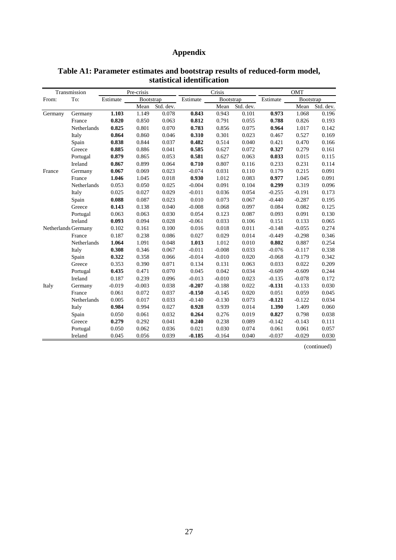## **Appendix**

|                     | Transmission |          | Pre-crisis |           |          | Crisis    |           |          | <b>OMT</b> |           |
|---------------------|--------------|----------|------------|-----------|----------|-----------|-----------|----------|------------|-----------|
| From:               | To:          | Estimate | Bootstrap  |           | Estimate | Bootstrap |           | Estimate | Bootstrap  |           |
|                     |              |          | Mean       | Std. dev. |          | Mean      | Std. dev. |          | Mean       | Std. dev. |
| Germany             | Germany      | 1.103    | 1.149      | 0.078     | 0.843    | 0.943     | 0.101     | 0.973    | 1.068      | 0.196     |
|                     | France       | 0.820    | 0.850      | 0.063     | 0.812    | 0.791     | 0.055     | 0.788    | 0.826      | 0.193     |
|                     | Netherlands  | 0.825    | 0.801      | 0.070     | 0.783    | 0.856     | 0.075     | 0.964    | 1.017      | 0.142     |
|                     | Italy        | 0.864    | 0.860      | 0.046     | 0.310    | 0.301     | 0.023     | 0.467    | 0.527      | 0.169     |
|                     | Spain        | 0.838    | 0.844      | 0.037     | 0.482    | 0.514     | 0.040     | 0.421    | 0.470      | 0.166     |
|                     | Greece       | 0.885    | 0.886      | 0.041     | 0.585    | 0.627     | 0.072     | 0.327    | 0.279      | 0.161     |
|                     | Portugal     | 0.879    | 0.865      | 0.053     | 0.581    | 0.627     | 0.063     | 0.033    | 0.015      | 0.115     |
|                     | Ireland      | 0.867    | 0.899      | 0.064     | 0.710    | 0.807     | 0.116     | 0.233    | 0.231      | 0.114     |
| France              | Germany      | 0.067    | 0.069      | 0.023     | $-0.074$ | 0.031     | 0.110     | 0.179    | 0.215      | 0.091     |
|                     | France       | 1.046    | 1.045      | 0.018     | 0.930    | 1.012     | 0.083     | 0.977    | 1.045      | 0.091     |
|                     | Netherlands  | 0.053    | 0.050      | 0.025     | $-0.004$ | 0.091     | 0.104     | 0.299    | 0.319      | 0.096     |
|                     | Italy        | 0.025    | 0.027      | 0.029     | $-0.011$ | 0.036     | 0.054     | $-0.255$ | $-0.191$   | 0.173     |
|                     | Spain        | 0.088    | 0.087      | 0.023     | 0.010    | 0.073     | 0.067     | $-0.440$ | $-0.287$   | 0.195     |
|                     | Greece       | 0.143    | 0.138      | 0.040     | $-0.008$ | 0.068     | 0.097     | 0.084    | 0.082      | 0.125     |
|                     | Portugal     | 0.063    | 0.063      | 0.030     | 0.054    | 0.123     | 0.087     | 0.093    | 0.091      | 0.130     |
|                     | Ireland      | 0.093    | 0.094      | 0.028     | $-0.061$ | 0.033     | 0.106     | 0.151    | 0.133      | 0.065     |
| Netherlands Germany |              | 0.102    | 0.161      | 0.100     | 0.016    | 0.018     | 0.011     | $-0.148$ | $-0.055$   | 0.274     |
|                     | France       | 0.187    | 0.238      | 0.086     | 0.027    | 0.029     | 0.014     | $-0.449$ | $-0.298$   | 0.346     |
|                     | Netherlands  | 1.064    | 1.091      | 0.048     | 1.013    | 1.012     | 0.010     | 0.802    | 0.887      | 0.254     |
|                     | Italy        | 0.308    | 0.346      | 0.067     | $-0.011$ | $-0.008$  | 0.033     | $-0.076$ | $-0.117$   | 0.338     |
|                     | Spain        | 0.322    | 0.358      | 0.066     | $-0.014$ | $-0.010$  | 0.020     | $-0.068$ | $-0.179$   | 0.342     |
|                     | Greece       | 0.353    | 0.390      | 0.071     | 0.134    | 0.131     | 0.063     | 0.033    | 0.022      | 0.209     |
|                     | Portugal     | 0.435    | 0.471      | 0.070     | 0.045    | 0.042     | 0.034     | $-0.609$ | $-0.609$   | 0.244     |
|                     | Ireland      | 0.187    | 0.239      | 0.096     | $-0.013$ | $-0.010$  | 0.023     | $-0.135$ | $-0.078$   | 0.172     |
| Italy               | Germany      | $-0.019$ | $-0.003$   | 0.038     | $-0.207$ | $-0.188$  | 0.022     | $-0.131$ | $-0.133$   | 0.030     |
|                     | France       | 0.061    | 0.072      | 0.037     | $-0.150$ | $-0.145$  | 0.020     | 0.051    | 0.059      | 0.045     |
|                     | Netherlands  | 0.005    | 0.017      | 0.033     | $-0.140$ | $-0.130$  | 0.073     | $-0.121$ | $-0.122$   | 0.034     |
|                     | Italy        | 0.984    | 0.994      | 0.027     | 0.928    | 0.939     | 0.014     | 1.390    | 1.409      | 0.060     |
|                     | Spain        | 0.050    | 0.061      | 0.032     | 0.264    | 0.276     | 0.019     | 0.827    | 0.798      | 0.038     |
|                     | Greece       | 0.279    | 0.292      | 0.041     | 0.240    | 0.238     | 0.089     | $-0.142$ | $-0.143$   | 0.111     |
|                     | Portugal     | 0.050    | 0.062      | 0.036     | 0.021    | 0.030     | 0.074     | 0.061    | 0.061      | 0.057     |
|                     | Ireland      | 0.045    | 0.056      | 0.039     | $-0.185$ | $-0.164$  | 0.040     | $-0.037$ | $-0.029$   | 0.030     |

#### **Table A1: Parameter estimates and bootstrap results of reduced-form model, statistical identification**

(continued)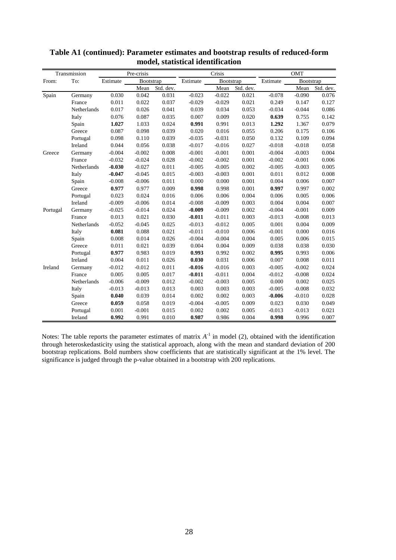|          | Transmission |          | Pre-crisis |           |          | Crisis    |           | <b>OMT</b> |           |           |
|----------|--------------|----------|------------|-----------|----------|-----------|-----------|------------|-----------|-----------|
| From:    | To:          | Estimate | Bootstrap  |           | Estimate | Bootstrap |           | Estimate   | Bootstrap |           |
|          |              |          | Mean       | Std. dev. |          | Mean      | Std. dev. |            | Mean      | Std. dev. |
| Spain    | Germany      | 0.030    | 0.042      | 0.031     | $-0.023$ | $-0.022$  | 0.021     | $-0.078$   | $-0.090$  | 0.076     |
|          | France       | 0.011    | 0.022      | 0.037     | $-0.029$ | $-0.029$  | 0.021     | 0.249      | 0.147     | 0.127     |
|          | Netherlands  | 0.017    | 0.026      | 0.041     | 0.039    | 0.034     | 0.053     | $-0.034$   | $-0.044$  | 0.086     |
|          | Italy        | 0.076    | 0.087      | 0.035     | 0.007    | 0.009     | 0.020     | 0.639      | 0.755     | 0.142     |
|          | Spain        | 1.027    | 1.033      | 0.024     | 0.991    | 0.991     | 0.013     | 1.292      | 1.367     | 0.079     |
|          | Greece       | 0.087    | 0.098      | 0.039     | 0.020    | 0.016     | 0.055     | 0.206      | 0.175     | 0.106     |
|          | Portugal     | 0.098    | 0.110      | 0.039     | $-0.035$ | $-0.031$  | 0.050     | 0.132      | 0.109     | 0.094     |
|          | Ireland      | 0.044    | 0.056      | 0.038     | $-0.017$ | $-0.016$  | 0.027     | $-0.018$   | $-0.018$  | 0.058     |
| Greece   | Germany      | $-0.004$ | $-0.002$   | 0.008     | $-0.001$ | $-0.001$  | 0.001     | $-0.004$   | $-0.003$  | 0.004     |
|          | France       | $-0.032$ | $-0.024$   | 0.028     | $-0.002$ | $-0.002$  | 0.001     | $-0.002$   | $-0.001$  | 0.006     |
|          | Netherlands  | $-0.030$ | $-0.027$   | 0.011     | $-0.005$ | $-0.005$  | 0.002     | $-0.005$   | $-0.003$  | 0.005     |
|          | Italy        | $-0.047$ | $-0.045$   | 0.015     | $-0.003$ | $-0.003$  | 0.001     | 0.011      | 0.012     | 0.008     |
|          | Spain        | $-0.008$ | $-0.006$   | 0.011     | 0.000    | 0.000     | 0.001     | 0.004      | 0.006     | 0.007     |
|          | Greece       | 0.977    | 0.977      | 0.009     | 0.998    | 0.998     | 0.001     | 0.997      | 0.997     | 0.002     |
|          | Portugal     | 0.023    | 0.024      | 0.016     | 0.006    | 0.006     | 0.004     | 0.006      | 0.005     | 0.006     |
|          | Ireland      | $-0.009$ | $-0.006$   | 0.014     | $-0.008$ | $-0.009$  | 0.003     | 0.004      | 0.004     | 0.007     |
| Portugal | Germany      | $-0.025$ | $-0.014$   | 0.024     | $-0.009$ | $-0.009$  | 0.002     | $-0.004$   | $-0.001$  | 0.009     |
|          | France       | 0.013    | 0.021      | 0.030     | $-0.011$ | $-0.011$  | 0.003     | $-0.013$   | $-0.008$  | 0.013     |
|          | Netherlands  | $-0.052$ | $-0.045$   | 0.025     | $-0.013$ | $-0.012$  | 0.005     | 0.001      | 0.004     | 0.009     |
|          | Italy        | 0.081    | 0.088      | 0.021     | $-0.011$ | $-0.010$  | 0.006     | $-0.001$   | 0.000     | 0.016     |
|          | Spain        | 0.008    | 0.014      | 0.026     | $-0.004$ | $-0.004$  | 0.004     | 0.005      | 0.006     | 0.015     |
|          | Greece       | 0.011    | 0.021      | 0.039     | 0.004    | 0.004     | 0.009     | 0.038      | 0.038     | 0.030     |
|          | Portugal     | 0.977    | 0.983      | 0.019     | 0.993    | 0.992     | 0.002     | 0.995      | 0.993     | 0.006     |
|          | Ireland      | 0.004    | 0.011      | 0.026     | 0.030    | 0.031     | 0.006     | 0.007      | 0.008     | 0.011     |
| Ireland  | Germany      | $-0.012$ | $-0.012$   | 0.011     | $-0.016$ | $-0.016$  | 0.003     | $-0.005$   | $-0.002$  | 0.024     |
|          | France       | 0.005    | 0.005      | 0.017     | $-0.011$ | $-0.011$  | 0.004     | $-0.012$   | $-0.008$  | 0.024     |
|          | Netherlands  | $-0.006$ | $-0.009$   | 0.012     | $-0.002$ | $-0.003$  | 0.005     | 0.000      | 0.002     | 0.025     |
|          | Italy        | $-0.013$ | $-0.013$   | 0.013     | 0.003    | 0.003     | 0.003     | $-0.005$   | $-0.008$  | 0.032     |
|          | Spain        | 0.040    | 0.039      | 0.014     | 0.002    | 0.002     | 0.003     | $-0.006$   | $-0.010$  | 0.028     |
|          | Greece       | 0.059    | 0.058      | 0.019     | $-0.004$ | $-0.005$  | 0.009     | 0.023      | 0.030     | 0.049     |
|          | Portugal     | 0.001    | $-0.001$   | 0.015     | 0.002    | 0.002     | 0.005     | $-0.013$   | $-0.013$  | 0.021     |
|          | Ireland      | 0.992    | 0.991      | 0.010     | 0.987    | 0.986     | 0.004     | 0.998      | 0.996     | 0.007     |

#### **Table A1 (continued): Parameter estimates and bootstrap results of reduced-form model, statistical identification**

Notes: The table reports the parameter estimates of matrix  $A<sup>-1</sup>$  in model (2), obtained with the identification through heteroskedasticity using the statistical approach, along with the mean and standard deviation of 200 bootstrap replications. Bold numbers show coefficients that are statistically significant at the 1% level. The significance is judged through the p-value obtained in a bootstrap with 200 replications.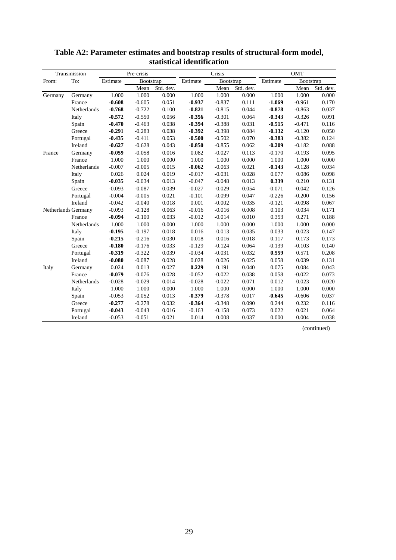|                     | Transmission |          | Pre-crisis |           |          | Crisis    |           | OMT                   |          |           |
|---------------------|--------------|----------|------------|-----------|----------|-----------|-----------|-----------------------|----------|-----------|
| From:               | To:          | Estimate | Bootstrap  |           | Estimate | Bootstrap |           | Estimate<br>Bootstrap |          |           |
|                     |              |          | Mean       | Std. dev. |          | Mean      | Std. dev. |                       | Mean     | Std. dev. |
| Germany             | Germany      | 1.000    | 1.000      | 0.000     | 1.000    | 1.000     | 0.000     | 1.000                 | 1.000    | 0.000     |
|                     | France       | $-0.608$ | $-0.605$   | 0.051     | $-0.937$ | $-0.837$  | 0.111     | $-1.069$              | $-0.961$ | 0.170     |
|                     | Netherlands  | $-0.768$ | $-0.722$   | 0.100     | $-0.821$ | $-0.815$  | 0.044     | $-0.878$              | $-0.863$ | 0.037     |
|                     | Italy        | $-0.572$ | $-0.550$   | 0.056     | $-0.356$ | $-0.301$  | 0.064     | $-0.343$              | $-0.326$ | 0.091     |
|                     | Spain        | $-0.470$ | $-0.463$   | 0.038     | $-0.394$ | $-0.388$  | 0.031     | $-0.515$              | $-0.471$ | 0.116     |
|                     | Greece       | $-0.291$ | $-0.283$   | 0.038     | $-0.392$ | $-0.398$  | 0.084     | $-0.132$              | $-0.120$ | 0.050     |
|                     | Portugal     | $-0.435$ | $-0.411$   | 0.053     | $-0.500$ | $-0.502$  | 0.070     | $-0.383$              | $-0.382$ | 0.124     |
|                     | Ireland      | $-0.627$ | $-0.628$   | 0.043     | $-0.850$ | $-0.855$  | 0.062     | $-0.209$              | $-0.182$ | 0.088     |
| France              | Germany      | $-0.059$ | $-0.058$   | 0.016     | 0.082    | $-0.027$  | 0.113     | $-0.170$              | $-0.193$ | 0.095     |
|                     | France       | 1.000    | 1.000      | 0.000     | 1.000    | 1.000     | 0.000     | 1.000                 | 1.000    | 0.000     |
|                     | Netherlands  | $-0.007$ | $-0.005$   | 0.015     | $-0.062$ | $-0.063$  | 0.021     | $-0.143$              | $-0.128$ | 0.034     |
|                     | Italy        | 0.026    | 0.024      | 0.019     | $-0.017$ | $-0.031$  | 0.028     | 0.077                 | 0.086    | 0.098     |
|                     | Spain        | $-0.035$ | $-0.034$   | 0.013     | $-0.047$ | $-0.048$  | 0.013     | 0.339                 | 0.210    | 0.131     |
|                     | Greece       | $-0.093$ | $-0.087$   | 0.039     | $-0.027$ | $-0.029$  | 0.054     | $-0.071$              | $-0.042$ | 0.126     |
|                     | Portugal     | $-0.004$ | $-0.005$   | 0.021     | $-0.101$ | $-0.099$  | 0.047     | $-0.226$              | $-0.200$ | 0.156     |
|                     | Ireland      | $-0.042$ | $-0.040$   | 0.018     | 0.001    | $-0.002$  | 0.035     | $-0.121$              | $-0.098$ | 0.067     |
| Netherlands Germany |              | $-0.093$ | $-0.128$   | 0.063     | $-0.016$ | $-0.016$  | 0.008     | 0.103                 | 0.034    | 0.171     |
|                     | France       | $-0.094$ | $-0.100$   | 0.033     | $-0.012$ | $-0.014$  | 0.010     | 0.353                 | 0.271    | 0.188     |
|                     | Netherlands  | 1.000    | 1.000      | 0.000     | 1.000    | 1.000     | 0.000     | 1.000                 | 1.000    | 0.000     |
|                     | Italy        | $-0.195$ | $-0.197$   | 0.018     | 0.016    | 0.013     | 0.035     | 0.033                 | 0.023    | 0.147     |
|                     | Spain        | $-0.215$ | $-0.216$   | 0.030     | 0.018    | 0.016     | 0.018     | 0.117                 | 0.173    | 0.173     |
|                     | Greece       | $-0.180$ | $-0.176$   | 0.033     | $-0.129$ | $-0.124$  | 0.064     | $-0.139$              | $-0.103$ | 0.140     |
|                     | Portugal     | $-0.319$ | $-0.322$   | 0.039     | $-0.034$ | $-0.031$  | 0.032     | 0.559                 | 0.571    | 0.208     |
|                     | Ireland      | $-0.080$ | $-0.087$   | 0.028     | 0.028    | 0.026     | 0.025     | 0.058                 | 0.039    | 0.131     |
| Italy               | Germany      | 0.024    | 0.013      | 0.027     | 0.229    | 0.191     | 0.040     | 0.075                 | 0.084    | 0.043     |
|                     | France       | $-0.079$ | $-0.076$   | 0.028     | $-0.052$ | $-0.022$  | 0.038     | 0.058                 | $-0.022$ | 0.073     |
|                     | Netherlands  | $-0.028$ | $-0.029$   | 0.014     | $-0.028$ | $-0.022$  | 0.071     | 0.012                 | 0.023    | 0.020     |
|                     | Italy        | 1.000    | 1.000      | 0.000     | 1.000    | 1.000     | 0.000     | 1.000                 | 1.000    | 0.000     |
|                     | Spain        | $-0.053$ | $-0.052$   | 0.013     | $-0.379$ | $-0.378$  | 0.017     | $-0.645$              | $-0.606$ | 0.037     |
|                     | Greece       | $-0.277$ | $-0.278$   | 0.032     | $-0.364$ | $-0.348$  | 0.090     | 0.244                 | 0.232    | 0.116     |
|                     | Portugal     | $-0.043$ | $-0.043$   | 0.016     | $-0.163$ | $-0.158$  | 0.073     | 0.022                 | 0.021    | 0.064     |
|                     | Ireland      | $-0.053$ | $-0.051$   | 0.021     | 0.014    | 0.008     | 0.037     | 0.000                 | 0.004    | 0.038     |

#### **Table A2: Parameter estimates and bootstrap results of structural-form model, statistical identification**

(continued)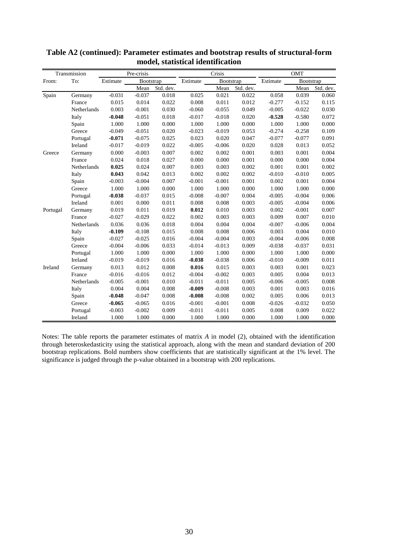|          | Transmission |          | Pre-crisis |           |          | Crisis    |           | OMT      |          |           |  |
|----------|--------------|----------|------------|-----------|----------|-----------|-----------|----------|----------|-----------|--|
| From:    | To:          | Estimate | Bootstrap  |           | Estimate | Bootstrap |           | Estimate |          | Bootstrap |  |
|          |              |          | Mean       | Std. dev. |          | Mean      | Std. dev. |          | Mean     | Std. dev. |  |
| Spain    | Germany      | $-0.031$ | $-0.037$   | 0.018     | 0.025    | 0.021     | 0.022     | 0.058    | 0.039    | 0.060     |  |
|          | France       | 0.015    | 0.014      | 0.022     | 0.008    | 0.011     | 0.012     | $-0.277$ | $-0.152$ | 0.115     |  |
|          | Netherlands  | 0.003    | $-0.001$   | 0.030     | $-0.060$ | $-0.055$  | 0.049     | $-0.005$ | $-0.022$ | 0.030     |  |
|          | Italy        | $-0.048$ | $-0.051$   | 0.018     | $-0.017$ | $-0.018$  | 0.020     | $-0.528$ | $-0.580$ | 0.072     |  |
|          | Spain        | 1.000    | 1.000      | 0.000     | 1.000    | 1.000     | 0.000     | 1.000    | 1.000    | 0.000     |  |
|          | Greece       | $-0.049$ | $-0.051$   | 0.020     | $-0.023$ | $-0.019$  | 0.053     | $-0.274$ | $-0.258$ | 0.109     |  |
|          | Portugal     | $-0.071$ | $-0.075$   | 0.025     | 0.023    | 0.020     | 0.047     | $-0.077$ | $-0.077$ | 0.091     |  |
|          | Ireland      | $-0.017$ | $-0.019$   | 0.022     | $-0.005$ | $-0.006$  | 0.020     | 0.028    | 0.013    | 0.052     |  |
| Greece   | Germany      | 0.000    | $-0.003$   | 0.007     | 0.002    | 0.002     | 0.001     | 0.003    | 0.001    | 0.004     |  |
|          | France       | 0.024    | 0.018      | 0.027     | 0.000    | 0.000     | 0.001     | 0.000    | 0.000    | 0.004     |  |
|          | Netherlands  | 0.025    | 0.024      | 0.007     | 0.003    | 0.003     | 0.002     | 0.001    | 0.001    | 0.002     |  |
|          | Italy        | 0.043    | 0.042      | 0.013     | 0.002    | 0.002     | 0.002     | $-0.010$ | $-0.010$ | 0.005     |  |
|          | Spain        | $-0.003$ | $-0.004$   | 0.007     | $-0.001$ | $-0.001$  | 0.001     | 0.002    | 0.001    | 0.004     |  |
|          | Greece       | 1.000    | 1.000      | 0.000     | 1.000    | 1.000     | 0.000     | 1.000    | 1.000    | 0.000     |  |
|          | Portugal     | $-0.038$ | $-0.037$   | 0.015     | $-0.008$ | $-0.007$  | 0.004     | $-0.005$ | $-0.004$ | 0.006     |  |
|          | Ireland      | 0.001    | 0.000      | 0.011     | 0.008    | 0.008     | 0.003     | $-0.005$ | $-0.004$ | 0.006     |  |
| Portugal | Germany      | 0.019    | 0.011      | 0.019     | 0.012    | 0.010     | 0.003     | 0.002    | $-0.001$ | 0.007     |  |
|          | France       | $-0.027$ | $-0.029$   | 0.022     | 0.002    | 0.003     | 0.003     | 0.009    | 0.007    | 0.010     |  |
|          | Netherlands  | 0.036    | 0.036      | 0.018     | 0.004    | 0.004     | 0.004     | $-0.007$ | $-0.006$ | 0.004     |  |
|          | Italy        | $-0.109$ | $-0.108$   | 0.015     | 0.008    | 0.008     | 0.006     | 0.003    | 0.004    | 0.010     |  |
|          | Spain        | $-0.027$ | $-0.025$   | 0.016     | $-0.004$ | $-0.004$  | 0.003     | $-0.004$ | $-0.006$ | 0.008     |  |
|          | Greece       | $-0.004$ | $-0.006$   | 0.033     | $-0.014$ | $-0.013$  | 0.009     | $-0.038$ | $-0.037$ | 0.031     |  |
|          | Portugal     | 1.000    | 1.000      | 0.000     | 1.000    | 1.000     | 0.000     | 1.000    | 1.000    | 0.000     |  |
|          | Ireland      | $-0.019$ | $-0.019$   | 0.016     | $-0.038$ | $-0.038$  | 0.006     | $-0.010$ | $-0.009$ | 0.011     |  |
| Ireland  | Germany      | 0.013    | 0.012      | 0.008     | 0.016    | 0.015     | 0.003     | 0.003    | 0.001    | 0.023     |  |
|          | France       | $-0.016$ | $-0.016$   | 0.012     | $-0.004$ | $-0.002$  | 0.003     | 0.005    | 0.004    | 0.013     |  |
|          | Netherlands  | $-0.005$ | $-0.001$   | 0.010     | $-0.011$ | $-0.011$  | 0.005     | $-0.006$ | $-0.005$ | $0.008\,$ |  |
|          | Italy        | 0.004    | 0.004      | 0.008     | $-0.009$ | $-0.008$  | 0.003     | 0.001    | 0.003    | 0.016     |  |
|          | Spain        | $-0.048$ | $-0.047$   | 0.008     | $-0.008$ | $-0.008$  | 0.002     | 0.005    | 0.006    | 0.013     |  |
|          | Greece       | $-0.065$ | $-0.065$   | 0.016     | $-0.001$ | $-0.001$  | 0.008     | $-0.026$ | $-0.032$ | 0.050     |  |
|          | Portugal     | $-0.003$ | $-0.002$   | 0.009     | $-0.011$ | $-0.011$  | 0.005     | 0.008    | 0.009    | 0.022     |  |
|          | Ireland      | 1.000    | 1.000      | 0.000     | 1.000    | 1.000     | 0.000     | 1.000    | 1.000    | 0.000     |  |

#### **Table A2 (continued): Parameter estimates and bootstrap results of structural-form model, statistical identification**

Notes: The table reports the parameter estimates of matrix *A* in model (2), obtained with the identification through heteroskedasticity using the statistical approach, along with the mean and standard deviation of 200 bootstrap replications. Bold numbers show coefficients that are statistically significant at the 1% level. The significance is judged through the p-value obtained in a bootstrap with 200 replications.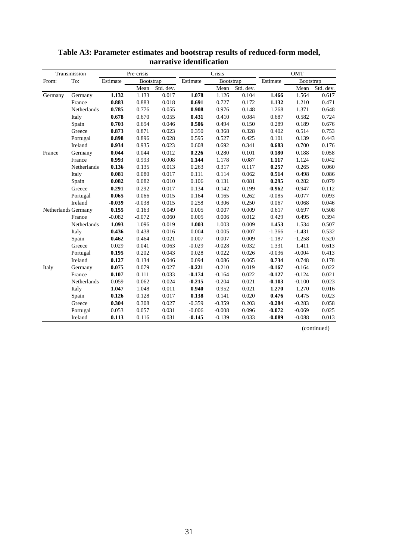|                     | Transmission |          | Pre-crisis |           |          | Crisis    |           | <b>OMT</b> |          |           |  |
|---------------------|--------------|----------|------------|-----------|----------|-----------|-----------|------------|----------|-----------|--|
| From:               | To:          | Estimate | Bootstrap  |           | Estimate | Bootstrap |           | Estimate   |          | Bootstrap |  |
|                     |              |          | Mean       | Std. dev. |          | Mean      | Std. dev. |            | Mean     | Std. dev. |  |
| Germany             | Germany      | 1.132    | 1.133      | 0.017     | 1.078    | 1.126     | 0.104     | 1.466      | 1.564    | 0.617     |  |
|                     | France       | 0.883    | 0.883      | 0.018     | 0.691    | 0.727     | 0.172     | 1.132      | 1.210    | 0.471     |  |
|                     | Netherlands  | 0.785    | 0.776      | 0.055     | 0.908    | 0.976     | 0.148     | 1.268      | 1.371    | 0.648     |  |
|                     | Italy        | 0.678    | 0.670      | 0.055     | 0.431    | 0.410     | 0.084     | 0.687      | 0.582    | 0.724     |  |
|                     | Spain        | 0.703    | 0.694      | 0.046     | 0.506    | 0.494     | 0.150     | 0.289      | 0.189    | 0.676     |  |
|                     | Greece       | 0.873    | 0.871      | 0.023     | 0.350    | 0.368     | 0.328     | 0.402      | 0.514    | 0.753     |  |
|                     | Portugal     | 0.898    | 0.896      | 0.028     | 0.595    | 0.527     | 0.425     | 0.101      | 0.139    | 0.443     |  |
|                     | Ireland      | 0.934    | 0.935      | 0.023     | 0.608    | 0.692     | 0.341     | 0.683      | 0.700    | 0.176     |  |
| France              | Germany      | 0.044    | 0.044      | 0.012     | 0.226    | 0.280     | 0.101     | 0.180      | 0.188    | 0.058     |  |
|                     | France       | 0.993    | 0.993      | 0.008     | 1.144    | 1.178     | 0.087     | 1.117      | 1.124    | 0.042     |  |
|                     | Netherlands  | 0.136    | 0.135      | 0.013     | 0.263    | 0.317     | 0.117     | 0.257      | 0.265    | 0.060     |  |
|                     | Italy        | 0.081    | 0.080      | 0.017     | 0.111    | 0.114     | 0.062     | 0.514      | 0.498    | 0.086     |  |
|                     | Spain        | 0.082    | 0.082      | 0.010     | 0.106    | 0.131     | 0.081     | 0.295      | 0.282    | 0.079     |  |
|                     | Greece       | 0.291    | 0.292      | 0.017     | 0.134    | 0.142     | 0.199     | $-0.962$   | $-0.947$ | 0.112     |  |
|                     | Portugal     | 0.065    | 0.066      | 0.015     | 0.164    | 0.165     | 0.262     | $-0.085$   | $-0.077$ | 0.093     |  |
|                     | Ireland      | $-0.039$ | $-0.038$   | 0.015     | 0.258    | 0.306     | 0.250     | 0.067      | 0.068    | 0.046     |  |
| Netherlands Germany |              | 0.155    | 0.163      | 0.049     | 0.005    | 0.007     | 0.009     | 0.617      | 0.697    | 0.508     |  |
|                     | France       | $-0.082$ | $-0.072$   | 0.060     | 0.005    | 0.006     | 0.012     | 0.429      | 0.495    | 0.394     |  |
|                     | Netherlands  | 1.093    | 1.096      | 0.019     | 1.003    | 1.003     | 0.009     | 1.453      | 1.534    | 0.507     |  |
|                     | Italy        | 0.436    | 0.438      | 0.016     | 0.004    | 0.005     | 0.007     | $-1.366$   | $-1.431$ | 0.532     |  |
|                     | Spain        | 0.462    | 0.464      | 0.021     | 0.007    | 0.007     | 0.009     | $-1.187$   | $-1.258$ | 0.520     |  |
|                     | Greece       | 0.029    | 0.041      | 0.063     | $-0.029$ | $-0.028$  | 0.032     | 1.331      | 1.411    | 0.613     |  |
|                     | Portugal     | 0.195    | 0.202      | 0.043     | 0.028    | 0.022     | 0.026     | $-0.036$   | $-0.004$ | 0.413     |  |
|                     | Ireland      | 0.127    | 0.134      | 0.046     | 0.094    | 0.086     | 0.065     | 0.734      | 0.748    | 0.178     |  |
| Italy               | Germany      | 0.075    | 0.079      | 0.027     | $-0.221$ | $-0.210$  | 0.019     | $-0.167$   | $-0.164$ | 0.022     |  |
|                     | France       | 0.107    | 0.111      | 0.033     | $-0.174$ | $-0.164$  | 0.022     | $-0.127$   | $-0.124$ | 0.021     |  |
|                     | Netherlands  | 0.059    | 0.062      | 0.024     | $-0.215$ | $-0.204$  | 0.021     | $-0.103$   | $-0.100$ | 0.023     |  |
|                     | Italy        | 1.047    | 1.048      | 0.011     | 0.940    | 0.952     | 0.021     | 1.270      | 1.270    | 0.016     |  |
|                     | Spain        | 0.126    | 0.128      | 0.017     | 0.138    | 0.141     | 0.020     | 0.476      | 0.475    | 0.023     |  |
|                     | Greece       | 0.304    | 0.308      | 0.027     | $-0.359$ | $-0.359$  | 0.203     | $-0.284$   | $-0.283$ | 0.058     |  |
|                     | Portugal     | 0.053    | 0.057      | 0.031     | $-0.006$ | $-0.008$  | 0.096     | $-0.072$   | $-0.069$ | 0.025     |  |
|                     | Ireland      | 0.113    | 0.116      | 0.031     | $-0.145$ | $-0.139$  | 0.033     | $-0.089$   | $-0.088$ | 0.013     |  |

#### **Table A3: Parameter estimates and bootstrap results of reduced-form model, narrative identification**

(continued)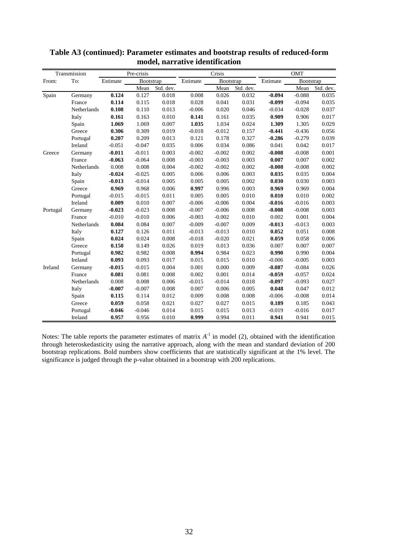|          | Transmission |          | Pre-crisis |           |          | Crisis    |           | <b>OMT</b> |          |           |  |
|----------|--------------|----------|------------|-----------|----------|-----------|-----------|------------|----------|-----------|--|
| From:    | To:          | Estimate | Bootstrap  |           | Estimate | Bootstrap |           | Estimate   |          | Bootstrap |  |
|          |              |          | Mean       | Std. dev. |          | Mean      | Std. dev. |            | Mean     | Std. dev. |  |
| Spain    | Germany      | 0.124    | 0.127      | 0.018     | 0.008    | 0.026     | 0.032     | $-0.094$   | $-0.088$ | 0.035     |  |
|          | France       | 0.114    | 0.115      | 0.018     | 0.028    | 0.041     | 0.031     | $-0.099$   | $-0.094$ | 0.035     |  |
|          | Netherlands  | 0.108    | 0.110      | 0.013     | $-0.006$ | 0.020     | 0.046     | $-0.034$   | $-0.028$ | 0.037     |  |
|          | Italy        | 0.161    | 0.163      | 0.010     | 0.141    | 0.161     | 0.035     | 0.909      | 0.906    | 0.017     |  |
|          | Spain        | 1.069    | 1.069      | 0.007     | 1.035    | 1.034     | 0.024     | 1.309      | 1.305    | 0.029     |  |
|          | Greece       | 0.306    | 0.309      | 0.019     | $-0.018$ | $-0.012$  | 0.157     | $-0.441$   | $-0.436$ | 0.056     |  |
|          | Portugal     | 0.207    | 0.209      | 0.013     | 0.121    | 0.178     | 0.327     | $-0.286$   | $-0.279$ | 0.039     |  |
|          | Ireland      | $-0.051$ | $-0.047$   | 0.035     | 0.006    | 0.034     | 0.086     | 0.041      | 0.042    | 0.017     |  |
| Greece   | Germany      | $-0.011$ | $-0.011$   | 0.003     | $-0.002$ | $-0.002$  | 0.002     | $-0.008$   | $-0.008$ | 0.001     |  |
|          | France       | $-0.063$ | $-0.064$   | 0.008     | $-0.003$ | $-0.003$  | 0.003     | 0.007      | 0.007    | 0.002     |  |
|          | Netherlands  | 0.008    | 0.008      | 0.004     | $-0.002$ | $-0.002$  | 0.002     | $-0.008$   | $-0.008$ | 0.002     |  |
|          | Italy        | $-0.024$ | $-0.025$   | 0.005     | 0.006    | 0.006     | 0.003     | 0.035      | 0.035    | 0.004     |  |
|          | Spain        | $-0.013$ | $-0.014$   | 0.005     | 0.005    | 0.005     | 0.002     | 0.030      | 0.030    | 0.003     |  |
|          | Greece       | 0.969    | 0.968      | 0.006     | 0.997    | 0.996     | 0.003     | 0.969      | 0.969    | 0.004     |  |
|          | Portugal     | $-0.015$ | $-0.015$   | 0.011     | 0.005    | 0.005     | 0.010     | 0.010      | 0.010    | 0.002     |  |
|          | Ireland      | 0.009    | 0.010      | 0.007     | $-0.006$ | $-0.006$  | 0.004     | $-0.016$   | $-0.016$ | 0.003     |  |
| Portugal | Germany      | $-0.023$ | $-0.023$   | 0.008     | $-0.007$ | $-0.006$  | 0.008     | $-0.008$   | $-0.008$ | 0.003     |  |
|          | France       | $-0.010$ | $-0.010$   | 0.006     | $-0.003$ | $-0.002$  | 0.010     | 0.002      | 0.001    | 0.004     |  |
|          | Netherlands  | 0.084    | 0.084      | 0.007     | $-0.009$ | $-0.007$  | 0.009     | $-0.013$   | $-0.013$ | 0.003     |  |
|          | Italy        | 0.127    | 0.126      | 0.011     | $-0.013$ | $-0.013$  | 0.010     | 0.052      | 0.051    | 0.008     |  |
|          | Spain        | 0.024    | 0.024      | 0.008     | $-0.018$ | $-0.020$  | 0.021     | 0.059      | 0.058    | 0.006     |  |
|          | Greece       | 0.150    | 0.149      | 0.026     | 0.019    | 0.013     | 0.036     | 0.007      | 0.007    | 0.007     |  |
|          | Portugal     | 0.982    | 0.982      | 0.008     | 0.994    | 0.984     | 0.023     | 0.990      | 0.990    | 0.004     |  |
|          | Ireland      | 0.093    | 0.093      | 0.017     | 0.015    | 0.015     | 0.010     | $-0.006$   | $-0.005$ | 0.003     |  |
| Ireland  | Germany      | $-0.015$ | $-0.015$   | 0.004     | 0.001    | 0.000     | 0.009     | $-0.087$   | $-0.084$ | 0.026     |  |
|          | France       | 0.081    | 0.081      | 0.008     | 0.002    | 0.001     | 0.014     | $-0.059$   | $-0.057$ | 0.024     |  |
|          | Netherlands  | 0.008    | 0.008      | 0.006     | $-0.015$ | $-0.014$  | 0.018     | $-0.097$   | $-0.093$ | 0.027     |  |
|          | Italy        | $-0.007$ | $-0.007$   | 0.008     | 0.007    | 0.006     | 0.005     | 0.048      | 0.047    | 0.012     |  |
|          | Spain        | 0.115    | 0.114      | 0.012     | 0.009    | 0.008     | 0.008     | $-0.006$   | $-0.008$ | 0.014     |  |
|          | Greece       | 0.059    | 0.058      | 0.021     | 0.027    | 0.027     | 0.015     | 0.189      | 0.185    | 0.043     |  |
|          | Portugal     | $-0.046$ | $-0.046$   | 0.014     | 0.015    | 0.015     | 0.013     | $-0.019$   | $-0.016$ | 0.017     |  |
|          | Ireland      | 0.957    | 0.956      | 0.010     | 0.999    | 0.994     | 0.011     | 0.941      | 0.941    | 0.015     |  |

#### **Table A3 (continued): Parameter estimates and bootstrap results of reduced-form model, narrative identification**

Notes: The table reports the parameter estimates of matrix  $A<sup>-1</sup>$  in model (2), obtained with the identification through heteroskedasticity using the narrative approach, along with the mean and standard deviation of 200 bootstrap replications. Bold numbers show coefficients that are statistically significant at the 1% level. The significance is judged through the p-value obtained in a bootstrap with 200 replications.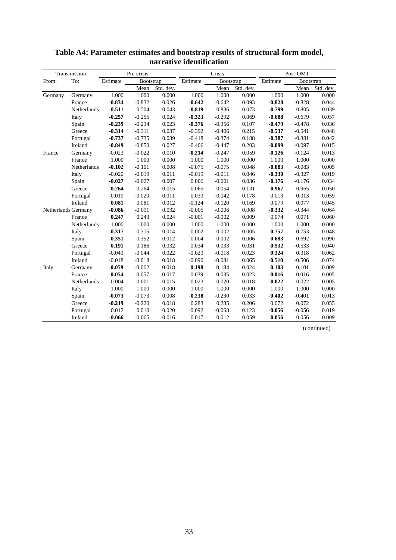|                     | Transmission |           | Pre-crisis       |           |          | Crisis    |           | Post-OMT  |           |           |
|---------------------|--------------|-----------|------------------|-----------|----------|-----------|-----------|-----------|-----------|-----------|
| From:               | To:          | Estimate  | <b>Bootstrap</b> |           | Estimate | Bootstrap |           | Estimate  | Bootstrap |           |
|                     |              |           | Mean             | Std. dev. |          | Mean      | Std. dev. |           | Mean      | Std. dev. |
| Germany             | Germany      | $1.000\,$ | 1.000            | $0.000\,$ | 1.000    | 1.000     | 0.000     | $1.000\,$ | 1.000     | 0.000     |
|                     | France       | $-0.834$  | $-0.832$         | 0.026     | $-0.642$ | $-0.642$  | 0.093     | $-0.828$  | $-0.828$  | 0.044     |
|                     | Netherlands  | $-0.511$  | $-0.504$         | 0.043     | $-0.819$ | $-0.836$  | 0.073     | $-0.799$  | $-0.805$  | 0.039     |
|                     | Italy        | $-0.257$  | $-0.255$         | 0.024     | $-0.323$ | $-0.292$  | 0.069     | $-0.688$  | $-0.679$  | 0.057     |
|                     | Spain        | $-0.239$  | $-0.234$         | 0.023     | $-0.376$ | $-0.356$  | 0.107     | $-0.479$  | $-0.478$  | 0.036     |
|                     | Greece       | $-0.314$  | $-0.311$         | 0.037     | $-0.392$ | $-0.406$  | 0.215     | $-0.537$  | $-0.541$  | 0.048     |
|                     | Portugal     | $-0.737$  | $-0.735$         | 0.039     | $-0.418$ | $-0.374$  | 0.188     | $-0.387$  | $-0.381$  | 0.042     |
|                     | Ireland      | $-0.849$  | $-0.850$         | 0.027     | $-0.406$ | $-0.447$  | 0.203     | $-0.099$  | $-0.097$  | 0.015     |
| France              | Germany      | $-0.023$  | $-0.022$         | 0.010     | $-0.214$ | $-0.247$  | 0.059     | $-0.126$  | $-0.124$  | 0.013     |
|                     | France       | 1.000     | 1.000            | 0.000     | 1.000    | 1.000     | 0.000     | 1.000     | 1.000     | 0.000     |
|                     | Netherlands  | $-0.102$  | $-0.101$         | 0.008     | $-0.075$ | $-0.075$  | 0.048     | $-0.083$  | $-0.083$  | 0.005     |
|                     | Italy        | $-0.020$  | $-0.019$         | 0.011     | $-0.019$ | $-0.011$  | 0.046     | $-0.330$  | $-0.327$  | 0.019     |
|                     | Spain        | $-0.027$  | $-0.027$         | 0.007     | 0.006    | $-0.001$  | 0.036     | $-0.176$  | $-0.176$  | 0.034     |
|                     | Greece       | $-0.264$  | $-0.264$         | 0.015     | $-0.065$ | $-0.054$  | 0.131     | 0.967     | 0.965     | 0.050     |
|                     | Portugal     | $-0.019$  | $-0.020$         | 0.011     | $-0.033$ | $-0.042$  | 0.178     | 0.013     | 0.013     | 0.059     |
|                     | Ireland      | 0.081     | 0.081            | 0.012     | $-0.124$ | $-0.120$  | 0.169     | 0.079     | 0.077     | 0.045     |
| Netherlands Germany |              | $-0.086$  | $-0.091$         | 0.032     | $-0.005$ | $-0.006$  | 0.008     | $-0.332$  | $-0.344$  | 0.064     |
|                     | France       | 0.247     | 0.243            | 0.024     | $-0.001$ | $-0.002$  | 0.009     | 0.074     | 0.071     | 0.060     |
|                     | Netherlands  | 1.000     | 1.000            | 0.000     | 1.000    | 1.000     | 0.000     | 1.000     | 1.000     | 0.000     |
|                     | Italy        | $-0.317$  | $-0.315$         | 0.014     | $-0.002$ | $-0.002$  | 0.005     | 0.757     | 0.753     | 0.048     |
|                     | Spain        | $-0.351$  | $-0.352$         | 0.012     | $-0.004$ | $-0.002$  | 0.006     | 0.683     | 0.692     | 0.090     |
|                     | Greece       | 0.191     | 0.186            | 0.032     | 0.034    | 0.033     | 0.031     | $-0.532$  | $-0.533$  | 0.040     |
|                     | Portugal     | $-0.043$  | $-0.044$         | 0.022     | $-0.023$ | $-0.018$  | 0.023     | 0.324     | 0.318     | 0.062     |
|                     | Ireland      | $-0.018$  | $-0.018$         | 0.018     | $-0.090$ | $-0.081$  | 0.065     | $-0.510$  | $-0.506$  | 0.074     |
| Italy               | Germany      | $-0.059$  | $-0.062$         | 0.018     | 0.198    | 0.184     | 0.024     | 0.103     | 0.101     | 0.009     |
|                     | France       | $-0.054$  | $-0.057$         | 0.017     | 0.039    | 0.035     | 0.023     | $-0.016$  | $-0.016$  | 0.005     |
|                     | Netherlands  | 0.004     | 0.001            | 0.015     | 0.023    | 0.020     | 0.018     | $-0.022$  | $-0.022$  | 0.005     |
|                     | Italy        | 1.000     | 1.000            | 0.000     | 1.000    | 1.000     | 0.000     | 1.000     | 1.000     | 0.000     |
|                     | Spain        | $-0.073$  | $-0.073$         | 0.008     | $-0.238$ | $-0.230$  | 0.033     | $-0.402$  | $-0.401$  | 0.013     |
|                     | Greece       | $-0.219$  | $-0.220$         | 0.018     | 0.283    | 0.285     | 0.206     | 0.072     | 0.072     | 0.055     |
|                     | Portugal     | 0.012     | 0.010            | 0.020     | $-0.092$ | $-0.068$  | 0.123     | $-0.056$  | $-0.056$  | 0.019     |
|                     | Ireland      | $-0.066$  | $-0.065$         | 0.016     | 0.017    | 0.012     | 0.059     | 0.056     | 0.056     | 0.009     |

#### **Table A4: Parameter estimates and bootstrap results of structural-form model, narrative identification**

(continued)